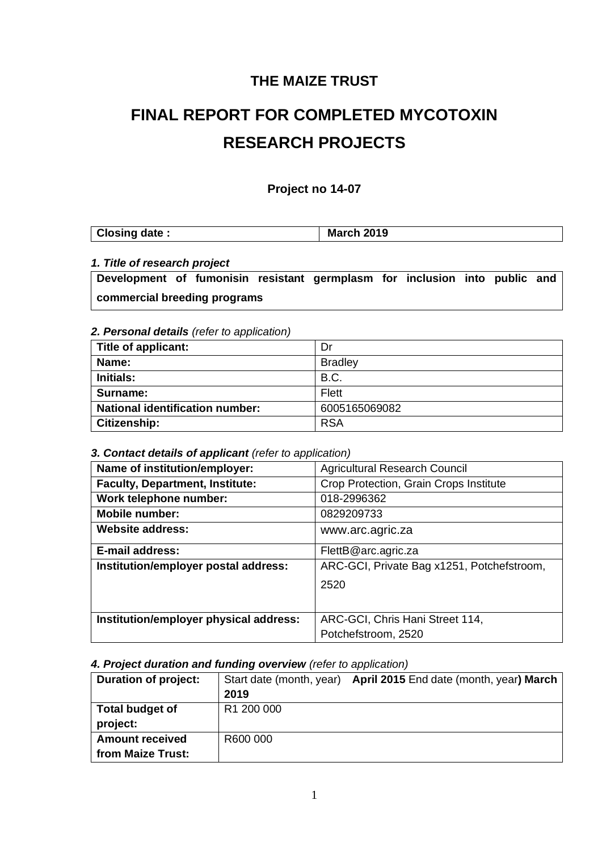# **THE MAIZE TRUST**

# **FINAL REPORT FOR COMPLETED MYCOTOXIN RESEARCH PROJECTS**

## **Project no 14-07**

| Closing date: | <b>March</b><br>2019 |
|---------------|----------------------|
|---------------|----------------------|

#### *1. Title of research project*

**Development of fumonisin resistant germplasm for inclusion into public and commercial breeding programs**

#### *2. Personal details (refer to application)*

| Title of applicant:                    | Dr             |
|----------------------------------------|----------------|
| Name:                                  | <b>Bradley</b> |
| <b>Initials:</b>                       | B.C.           |
| Surname:                               | <b>Flett</b>   |
| <b>National identification number:</b> | 6005165069082  |
| Citizenship:                           | <b>RSA</b>     |

#### *3. Contact details of applicant (refer to application)*

| Name of institution/employer:          | <b>Agricultural Research Council</b>       |
|----------------------------------------|--------------------------------------------|
| <b>Faculty, Department, Institute:</b> | Crop Protection, Grain Crops Institute     |
| Work telephone number:                 | 018-2996362                                |
| <b>Mobile number:</b>                  | 0829209733                                 |
| <b>Website address:</b>                | www.arc.agric.za                           |
| <b>E-mail address:</b>                 | FlettB@arc.agric.za                        |
| Institution/employer postal address:   | ARC-GCI, Private Bag x1251, Potchefstroom, |
|                                        | 2520                                       |
|                                        |                                            |
| Institution/employer physical address: | ARC-GCI, Chris Hani Street 114,            |
|                                        | Potchefstroom, 2520                        |

#### *4. Project duration and funding overview (refer to application)*

| Duration of project:   |            | Start date (month, year) April 2015 End date (month, year) March |  |  |
|------------------------|------------|------------------------------------------------------------------|--|--|
|                        | 2019       |                                                                  |  |  |
| Total budget of        | R1 200 000 |                                                                  |  |  |
| project:               |            |                                                                  |  |  |
| <b>Amount received</b> | R600 000   |                                                                  |  |  |
| from Maize Trust:      |            |                                                                  |  |  |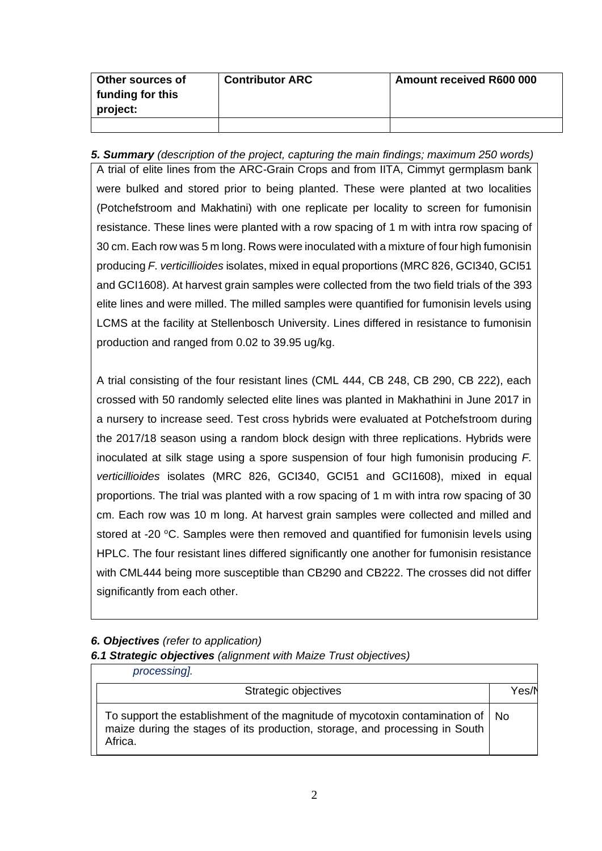| Other sources of<br>funding for this<br>project: | <b>Contributor ARC</b> | <b>Amount received R600 000</b> |
|--------------------------------------------------|------------------------|---------------------------------|
|                                                  |                        |                                 |

#### *5. Summary (description of the project, capturing the main findings; maximum 250 words)*

A trial of elite lines from the ARC-Grain Crops and from IITA, Cimmyt germplasm bank were bulked and stored prior to being planted. These were planted at two localities (Potchefstroom and Makhatini) with one replicate per locality to screen for fumonisin resistance. These lines were planted with a row spacing of 1 m with intra row spacing of 30 cm. Each row was 5 m long. Rows were inoculated with a mixture of four high fumonisin producing *F. verticillioides* isolates, mixed in equal proportions (MRC 826, GCI340, GCI51 and GCI1608). At harvest grain samples were collected from the two field trials of the 393 elite lines and were milled. The milled samples were quantified for fumonisin levels using LCMS at the facility at Stellenbosch University. Lines differed in resistance to fumonisin production and ranged from 0.02 to 39.95 ug/kg.

A trial consisting of the four resistant lines (CML 444, CB 248, CB 290, CB 222), each crossed with 50 randomly selected elite lines was planted in Makhathini in June 2017 in a nursery to increase seed. Test cross hybrids were evaluated at Potchefstroom during the 2017/18 season using a random block design with three replications. Hybrids were inoculated at silk stage using a spore suspension of four high fumonisin producing *F. verticillioides* isolates (MRC 826, GCI340, GCI51 and GCI1608), mixed in equal proportions. The trial was planted with a row spacing of 1 m with intra row spacing of 30 cm. Each row was 10 m long. At harvest grain samples were collected and milled and stored at -20 °C. Samples were then removed and quantified for fumonisin levels using HPLC. The four resistant lines differed significantly one another for fumonisin resistance with CML444 being more susceptible than CB290 and CB222. The crosses did not differ significantly from each other.

## *6. Objectives (refer to application)*

*6.1 Strategic objectives (alignment with Maize Trust objectives)*

| processing].                                                                                                                                                               |       |
|----------------------------------------------------------------------------------------------------------------------------------------------------------------------------|-------|
| Strategic objectives                                                                                                                                                       | Yes/N |
| To support the establishment of the magnitude of mycotoxin contamination of   No<br>maize during the stages of its production, storage, and processing in South<br>Africa. |       |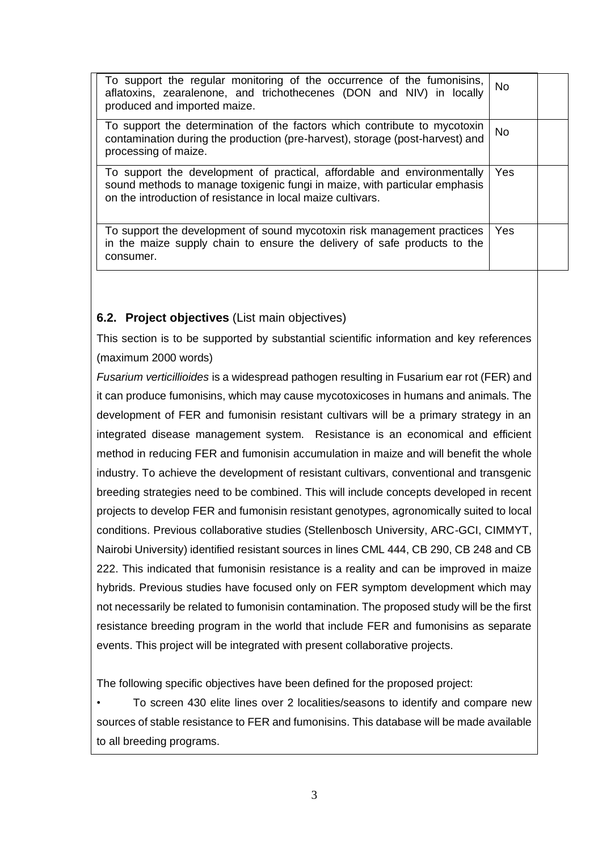| To support the regular monitoring of the occurrence of the fumonisins,<br>aflatoxins, zearalenone, and trichothecenes (DON and NIV) in locally<br>produced and imported maize.                                       | <b>No</b> |  |
|----------------------------------------------------------------------------------------------------------------------------------------------------------------------------------------------------------------------|-----------|--|
| To support the determination of the factors which contribute to mycotoxin<br>contamination during the production (pre-harvest), storage (post-harvest) and<br>processing of maize.                                   | No.       |  |
| To support the development of practical, affordable and environmentally<br>sound methods to manage toxigenic fungi in maize, with particular emphasis<br>on the introduction of resistance in local maize cultivars. | Yes       |  |
| To support the development of sound mycotoxin risk management practices<br>in the maize supply chain to ensure the delivery of safe products to the<br>consumer.                                                     | Yes       |  |

## **6.2. Project objectives** (List main objectives)

This section is to be supported by substantial scientific information and key references (maximum 2000 words)

*Fusarium verticillioides* is a widespread pathogen resulting in Fusarium ear rot (FER) and it can produce fumonisins, which may cause mycotoxicoses in humans and animals. The development of FER and fumonisin resistant cultivars will be a primary strategy in an integrated disease management system. Resistance is an economical and efficient method in reducing FER and fumonisin accumulation in maize and will benefit the whole industry. To achieve the development of resistant cultivars, conventional and transgenic breeding strategies need to be combined. This will include concepts developed in recent projects to develop FER and fumonisin resistant genotypes, agronomically suited to local conditions. Previous collaborative studies (Stellenbosch University, ARC-GCI, CIMMYT, Nairobi University) identified resistant sources in lines CML 444, CB 290, CB 248 and CB 222. This indicated that fumonisin resistance is a reality and can be improved in maize hybrids. Previous studies have focused only on FER symptom development which may not necessarily be related to fumonisin contamination. The proposed study will be the first resistance breeding program in the world that include FER and fumonisins as separate events. This project will be integrated with present collaborative projects.

The following specific objectives have been defined for the proposed project:

• To screen 430 elite lines over 2 localities/seasons to identify and compare new sources of stable resistance to FER and fumonisins. This database will be made available to all breeding programs.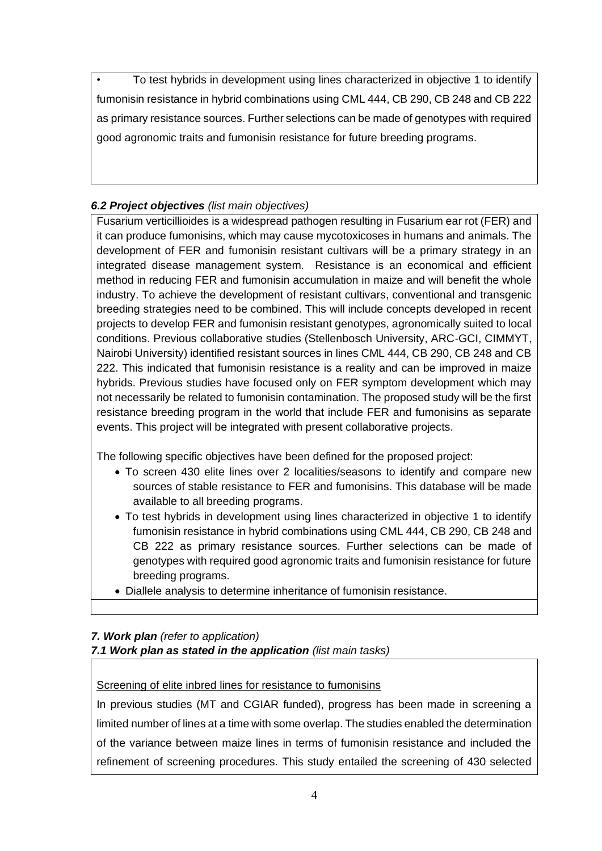• To test hybrids in development using lines characterized in objective 1 to identify fumonisin resistance in hybrid combinations using CML 444, CB 290, CB 248 and CB 222 as primary resistance sources. Further selections can be made of genotypes with required good agronomic traits and fumonisin resistance for future breeding programs.

# *6.2 Project objectives (list main objectives)*

Fusarium verticillioides is a widespread pathogen resulting in Fusarium ear rot (FER) and it can produce fumonisins, which may cause mycotoxicoses in humans and animals. The development of FER and fumonisin resistant cultivars will be a primary strategy in an integrated disease management system. Resistance is an economical and efficient method in reducing FER and fumonisin accumulation in maize and will benefit the whole industry. To achieve the development of resistant cultivars, conventional and transgenic breeding strategies need to be combined. This will include concepts developed in recent projects to develop FER and fumonisin resistant genotypes, agronomically suited to local conditions. Previous collaborative studies (Stellenbosch University, ARC-GCI, CIMMYT, Nairobi University) identified resistant sources in lines CML 444, CB 290, CB 248 and CB 222. This indicated that fumonisin resistance is a reality and can be improved in maize hybrids. Previous studies have focused only on FER symptom development which may not necessarily be related to fumonisin contamination. The proposed study will be the first resistance breeding program in the world that include FER and fumonisins as separate events. This project will be integrated with present collaborative projects.

The following specific objectives have been defined for the proposed project:

- To screen 430 elite lines over 2 localities/seasons to identify and compare new sources of stable resistance to FER and fumonisins. This database will be made available to all breeding programs.
- To test hybrids in development using lines characterized in objective 1 to identify fumonisin resistance in hybrid combinations using CML 444, CB 290, CB 248 and CB 222 as primary resistance sources. Further selections can be made of genotypes with required good agronomic traits and fumonisin resistance for future breeding programs.
- Diallele analysis to determine inheritance of fumonisin resistance.

## *7. Work plan (refer to application) 7.1 Work plan as stated in the application (list main tasks)*

# Screening of elite inbred lines for resistance to fumonisins

In previous studies (MT and CGIAR funded), progress has been made in screening a limited number of lines at a time with some overlap. The studies enabled the determination of the variance between maize lines in terms of fumonisin resistance and included the refinement of screening procedures. This study entailed the screening of 430 selected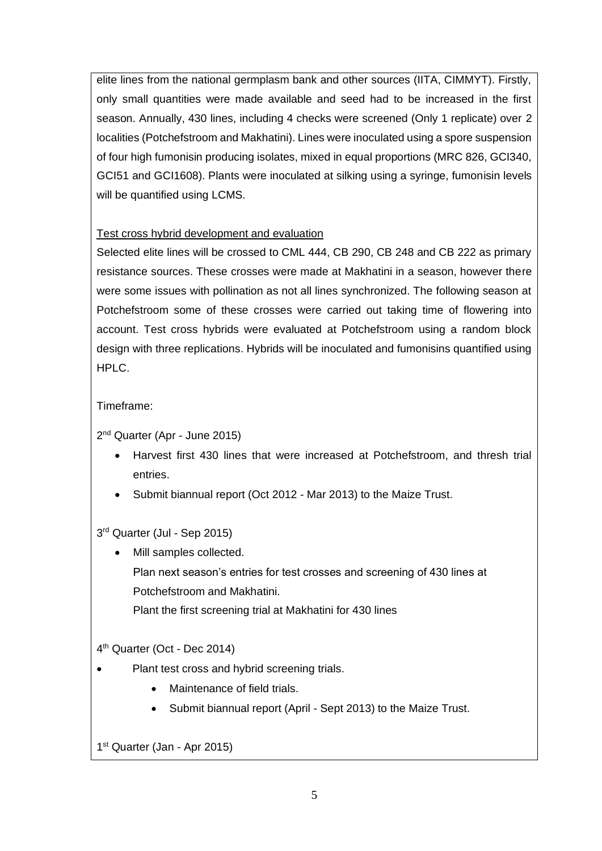elite lines from the national germplasm bank and other sources (IITA, CIMMYT). Firstly, only small quantities were made available and seed had to be increased in the first season. Annually, 430 lines, including 4 checks were screened (Only 1 replicate) over 2 localities (Potchefstroom and Makhatini). Lines were inoculated using a spore suspension of four high fumonisin producing isolates, mixed in equal proportions (MRC 826, GCI340, GCI51 and GCI1608). Plants were inoculated at silking using a syringe, fumonisin levels will be quantified using LCMS.

## Test cross hybrid development and evaluation

Selected elite lines will be crossed to CML 444, CB 290, CB 248 and CB 222 as primary resistance sources. These crosses were made at Makhatini in a season, however there were some issues with pollination as not all lines synchronized. The following season at Potchefstroom some of these crosses were carried out taking time of flowering into account. Test cross hybrids were evaluated at Potchefstroom using a random block design with three replications. Hybrids will be inoculated and fumonisins quantified using HPLC.

# Timeframe:

2<sup>nd</sup> Quarter (Apr - June 2015)

- Harvest first 430 lines that were increased at Potchefstroom, and thresh trial entries.
- Submit biannual report (Oct 2012 Mar 2013) to the Maize Trust.

## 3 rd Quarter (Jul - Sep 2015)

• Mill samples collected. Plan next season's entries for test crosses and screening of 430 lines at Potchefstroom and Makhatini.

Plant the first screening trial at Makhatini for 430 lines

4 th Quarter (Oct - Dec 2014)

- Plant test cross and hybrid screening trials.
	- Maintenance of field trials.
	- Submit biannual report (April Sept 2013) to the Maize Trust.

1 st Quarter (Jan - Apr 2015)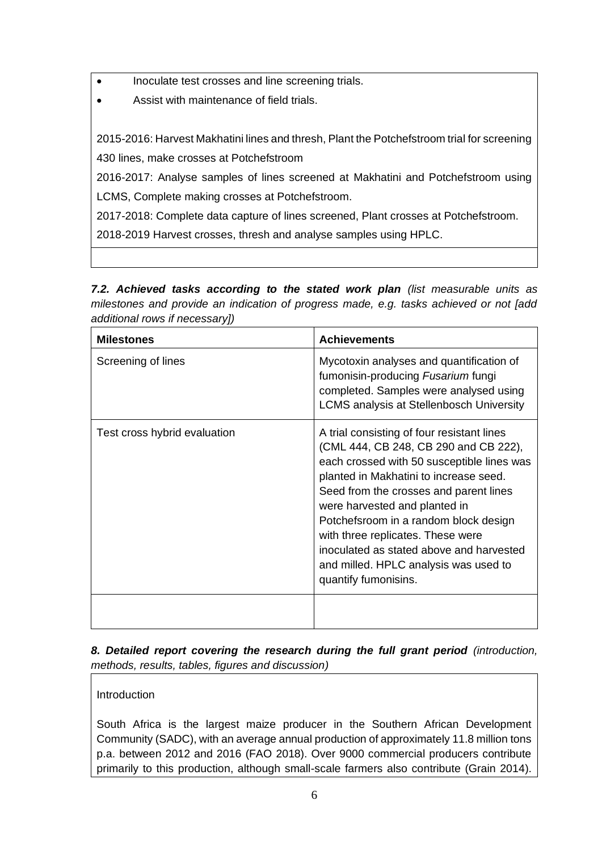• Inoculate test crosses and line screening trials.

• Assist with maintenance of field trials.

2015-2016: Harvest Makhatini lines and thresh, Plant the Potchefstroom trial for screening 430 lines, make crosses at Potchefstroom

2016-2017: Analyse samples of lines screened at Makhatini and Potchefstroom using LCMS, Complete making crosses at Potchefstroom.

2017-2018: Complete data capture of lines screened, Plant crosses at Potchefstroom.

2018-2019 Harvest crosses, thresh and analyse samples using HPLC.

*7.2. Achieved tasks according to the stated work plan (list measurable units as milestones and provide an indication of progress made, e.g. tasks achieved or not [add additional rows if necessary])*

| <b>Milestones</b>            | <b>Achievements</b>                                                                                                                                                                                                                                                                                                                                                                                                                               |
|------------------------------|---------------------------------------------------------------------------------------------------------------------------------------------------------------------------------------------------------------------------------------------------------------------------------------------------------------------------------------------------------------------------------------------------------------------------------------------------|
| Screening of lines           | Mycotoxin analyses and quantification of<br>fumonisin-producing Fusarium fungi<br>completed. Samples were analysed using<br><b>LCMS analysis at Stellenbosch University</b>                                                                                                                                                                                                                                                                       |
| Test cross hybrid evaluation | A trial consisting of four resistant lines<br>(CML 444, CB 248, CB 290 and CB 222),<br>each crossed with 50 susceptible lines was<br>planted in Makhatini to increase seed.<br>Seed from the crosses and parent lines<br>were harvested and planted in<br>Potchefsroom in a random block design<br>with three replicates. These were<br>inoculated as stated above and harvested<br>and milled. HPLC analysis was used to<br>quantify fumonisins. |
|                              |                                                                                                                                                                                                                                                                                                                                                                                                                                                   |

*8. Detailed report covering the research during the full grant period (introduction, methods, results, tables, figures and discussion)*

Introduction

South Africa is the largest maize producer in the Southern African Development Community (SADC), with an average annual production of approximately 11.8 million tons p.a. between 2012 and 2016 (FAO 2018). Over 9000 commercial producers contribute primarily to this production, although small-scale farmers also contribute (Grain 2014).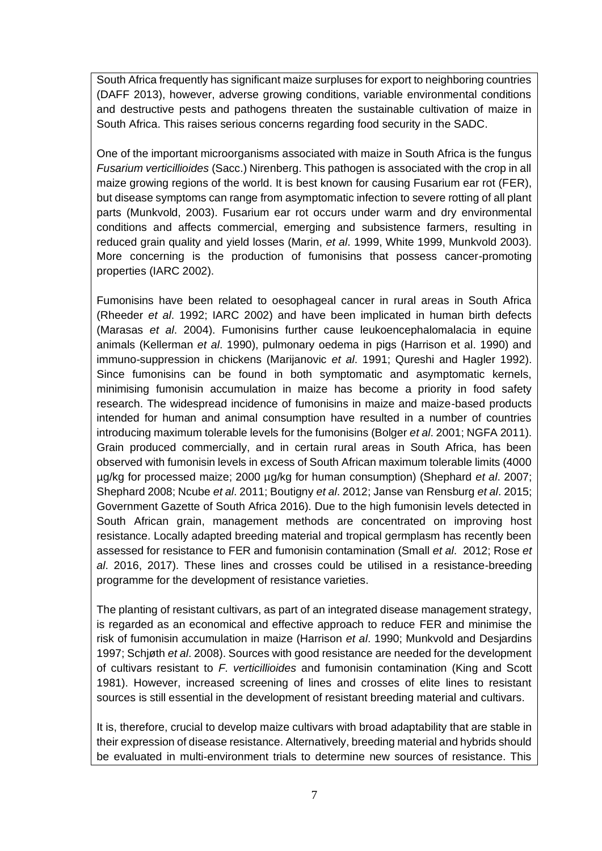South Africa frequently has significant maize surpluses for export to neighboring countries (DAFF 2013), however, adverse growing conditions, variable environmental conditions and destructive pests and pathogens threaten the sustainable cultivation of maize in South Africa. This raises serious concerns regarding food security in the SADC.

One of the important microorganisms associated with maize in South Africa is the fungus *Fusarium verticillioides* (Sacc.) Nirenberg. This pathogen is associated with the crop in all maize growing regions of the world. It is best known for causing Fusarium ear rot (FER), but disease symptoms can range from asymptomatic infection to severe rotting of all plant parts (Munkvold, 2003). Fusarium ear rot occurs under warm and dry environmental conditions and affects commercial, emerging and subsistence farmers, resulting in reduced grain quality and yield losses (Marin, *et al*. 1999, White 1999, Munkvold 2003). More concerning is the production of fumonisins that possess cancer-promoting properties (IARC 2002).

Fumonisins have been related to oesophageal cancer in rural areas in South Africa (Rheeder *et al*. 1992; IARC 2002) and have been implicated in human birth defects (Marasas *et al*. 2004). Fumonisins further cause leukoencephalomalacia in equine animals (Kellerman *et al*. 1990), pulmonary oedema in pigs (Harrison et al. 1990) and immuno-suppression in chickens (Marijanovic *et al*. 1991; Qureshi and Hagler 1992). Since fumonisins can be found in both symptomatic and asymptomatic kernels, minimising fumonisin accumulation in maize has become a priority in food safety research. The widespread incidence of fumonisins in maize and maize-based products intended for human and animal consumption have resulted in a number of countries introducing maximum tolerable levels for the fumonisins (Bolger *et al*. 2001; NGFA 2011). Grain produced commercially, and in certain rural areas in South Africa, has been observed with fumonisin levels in excess of South African maximum tolerable limits (4000 µg/kg for processed maize; 2000 µg/kg for human consumption) (Shephard *et al*. 2007; Shephard 2008; Ncube *et al*. 2011; Boutigny *et al*. 2012; Janse van Rensburg *et al*. 2015; Government Gazette of South Africa 2016). Due to the high fumonisin levels detected in South African grain, management methods are concentrated on improving host resistance. Locally adapted breeding material and tropical germplasm has recently been assessed for resistance to FER and fumonisin contamination (Small *et al*. 2012; Rose *et al*. 2016, 2017). These lines and crosses could be utilised in a resistance-breeding programme for the development of resistance varieties.

The planting of resistant cultivars, as part of an integrated disease management strategy, is regarded as an economical and effective approach to reduce FER and minimise the risk of fumonisin accumulation in maize (Harrison *et al*. 1990; Munkvold and Desjardins 1997; Schjøth *et al*. 2008). Sources with good resistance are needed for the development of cultivars resistant to *F. verticillioides* and fumonisin contamination (King and Scott 1981). However, increased screening of lines and crosses of elite lines to resistant sources is still essential in the development of resistant breeding material and cultivars.

It is, therefore, crucial to develop maize cultivars with broad adaptability that are stable in their expression of disease resistance. Alternatively, breeding material and hybrids should be evaluated in multi-environment trials to determine new sources of resistance. This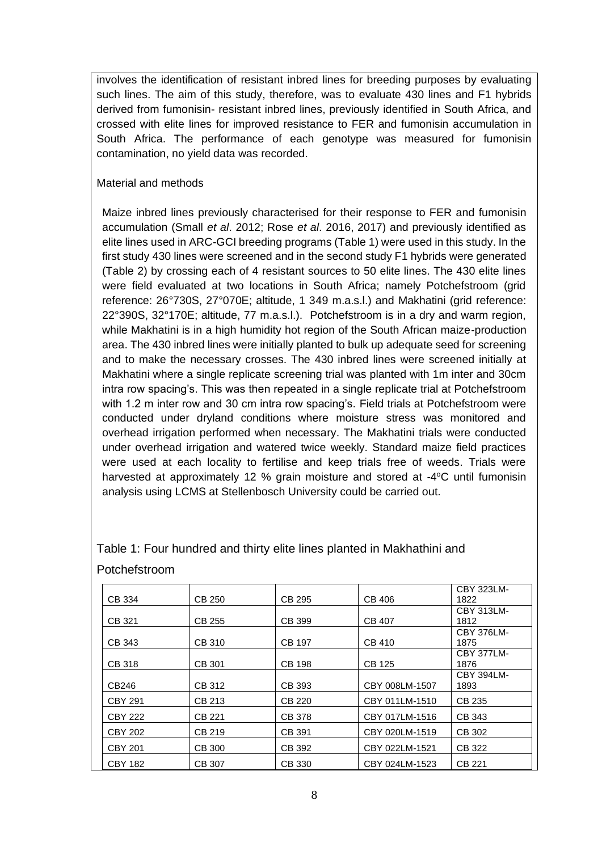involves the identification of resistant inbred lines for breeding purposes by evaluating such lines. The aim of this study, therefore, was to evaluate 430 lines and F1 hybrids derived from fumonisin- resistant inbred lines, previously identified in South Africa, and crossed with elite lines for improved resistance to FER and fumonisin accumulation in South Africa. The performance of each genotype was measured for fumonisin contamination, no yield data was recorded.

#### Material and methods

Maize inbred lines previously characterised for their response to FER and fumonisin accumulation (Small *et al*. 2012; Rose *et al*. 2016, 2017) and previously identified as elite lines used in ARC-GCI breeding programs (Table 1) were used in this study. In the first study 430 lines were screened and in the second study F1 hybrids were generated (Table 2) by crossing each of 4 resistant sources to 50 elite lines. The 430 elite lines were field evaluated at two locations in South Africa; namely Potchefstroom (grid reference: 26°730S, 27°070E; altitude, 1 349 m.a.s.l.) and Makhatini (grid reference: 22°390S, 32°170E; altitude, 77 m.a.s.l.). Potchefstroom is in a dry and warm region, while Makhatini is in a high humidity hot region of the South African maize-production area. The 430 inbred lines were initially planted to bulk up adequate seed for screening and to make the necessary crosses. The 430 inbred lines were screened initially at Makhatini where a single replicate screening trial was planted with 1m inter and 30cm intra row spacing's. This was then repeated in a single replicate trial at Potchefstroom with 1.2 m inter row and 30 cm intra row spacing's. Field trials at Potchefstroom were conducted under dryland conditions where moisture stress was monitored and overhead irrigation performed when necessary. The Makhatini trials were conducted under overhead irrigation and watered twice weekly. Standard maize field practices were used at each locality to fertilise and keep trials free of weeds. Trials were harvested at approximately 12 % grain moisture and stored at -4°C until fumonisin analysis using LCMS at Stellenbosch University could be carried out.

|                |               |               |                | <b>CBY 323LM-</b> |
|----------------|---------------|---------------|----------------|-------------------|
| CB 334         | CB 250        | CB 295        | CB 406         | 1822              |
|                |               |               |                | <b>CBY 313LM-</b> |
| CB 321         | CB 255        | CB 399        | <b>CB 407</b>  | 1812              |
|                |               |               |                | <b>CBY 376LM-</b> |
| CB 343         | <b>CB 310</b> | <b>CB 197</b> | <b>CB 410</b>  | 1875              |
|                |               |               |                | <b>CBY 377LM-</b> |
| <b>CB 318</b>  | CB 301        | CB 198        | CB 125         | 1876              |
|                |               |               |                | <b>CBY 394LM-</b> |
| CB246          | CB 312        | CB 393        | CBY 008LM-1507 | 1893              |
| <b>CBY 291</b> | CB 213        | CB 220        | CBY 011LM-1510 | CB 235            |
| <b>CBY 222</b> | CB 221        | <b>CB 378</b> | CBY 017LM-1516 | CB 343            |
| <b>CBY 202</b> | CB 219        | CB 391        | CBY 020LM-1519 | CB 302            |
| <b>CBY 201</b> | CB 300        | CB 392        | CBY 022LM-1521 | CB 322            |
| <b>CBY 182</b> | CB 307        | CB 330        | CBY 024LM-1523 | CB 221            |

Table 1: Four hundred and thirty elite lines planted in Makhathini and Potchefstroom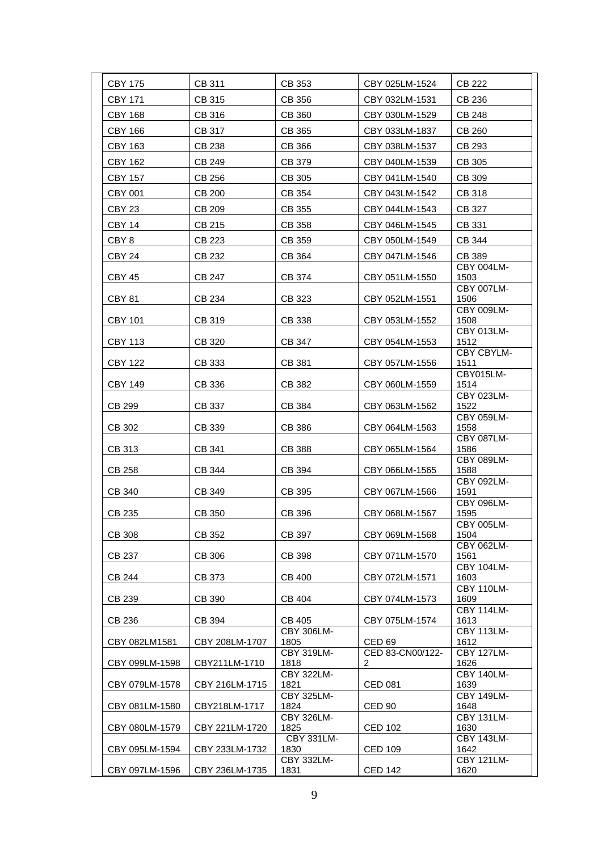| <b>CBY 175</b>          | CB 311           | CB 353                                         | CBY 025LM-1524                   | <b>CB 222</b>                                  |
|-------------------------|------------------|------------------------------------------------|----------------------------------|------------------------------------------------|
| <b>CBY 171</b>          | CB 315           | CB 356                                         | CBY 032LM-1531                   | CB 236                                         |
| <b>CBY 168</b>          | CB 316           | <b>CB 360</b>                                  | CBY 030LM-1529                   | CB 248                                         |
| <b>CBY 166</b>          | CB 317           | CB 365                                         | CBY 033LM-1837                   | <b>CB 260</b>                                  |
| <b>CBY 163</b>          | CB 238           | CB 366                                         | CBY 038LM-1537                   | CB 293                                         |
| <b>CBY 162</b>          | CB 249           | CB 379                                         | CBY 040LM-1539                   | CB 305                                         |
| <b>CBY 157</b>          | CB 256           | CB 305                                         | CBY 041LM-1540                   | CB 309                                         |
| CBY 001                 | CB 200           | CB 354                                         | CBY 043LM-1542                   | CB 318                                         |
| CBY <sub>23</sub>       | CB 209           | CB 355                                         | CBY 044LM-1543                   | CB 327                                         |
| <b>CBY 14</b>           | CB 215           | CB 358                                         | CBY 046LM-1545                   | CB 331                                         |
| CBY 8                   | CB 223           | CB 359                                         | CBY 050LM-1549                   | CB 344                                         |
| CBY 24                  | CB 232           | CB 364                                         | CBY 047LM-1546                   | CB 389                                         |
| <b>CBY 45</b>           | <b>CB 247</b>    | CB 374                                         | CBY 051LM-1550                   | CBY 004LM-<br>1503                             |
| <b>CBY 81</b>           | CB 234           | CB 323                                         | CBY 052LM-1551                   | CBY 007LM-<br>1506                             |
| <b>CBY 101</b>          | CB 319           | CB 338                                         | CBY 053LM-1552                   | CBY 009LM-<br>1508                             |
| <b>CBY 113</b>          | CB 320           | CB 347                                         | CBY 054LM-1553                   | CBY 013LM-<br>1512                             |
| <b>CBY 122</b>          | CB 333           | CB 381                                         | CBY 057LM-1556                   | CBY CBYLM-<br>1511                             |
| <b>CBY 149</b>          | CB 336           | CB 382                                         | CBY 060LM-1559                   | CBY015LM-<br>1514                              |
| CB 299                  | CB 337           | CB 384                                         | CBY 063LM-1562                   | CBY 023LM-<br>1522<br>CBY 059LM-               |
| CB 302                  | CB 339           | CB 386                                         | CBY 064LM-1563                   | 1558                                           |
| CB 313                  | CB 341           | <b>CB 388</b>                                  | CBY 065LM-1564                   | CBY 087LM-<br>1586                             |
| CB 258                  | CB 344           | CB 394                                         | CBY 066LM-1565                   | CBY 089LM-<br>1588                             |
| <b>CB 340</b>           | CB 349           | CB 395                                         | CBY 067LM-1566                   | CBY 092LM-<br>1591                             |
| CB 235                  | CB 350           | CB 396                                         | CBY 068LM-1567                   | CBY 096LM-<br>1595                             |
| CB 308                  | CB 352           | CB 397                                         | CBY 069LM-1568                   | CBY 005LM-<br>1504                             |
| CB 237                  | CB 306           | CB 398                                         | CBY 071LM-1570                   | CBY 062LM-<br>1561                             |
|                         |                  |                                                |                                  | <b>CBY 104LM-</b>                              |
| <b>CB 244</b><br>CB 239 | CB 373<br>CB 390 | <b>CB 400</b><br>CB 404                        | CBY 072LM-1571<br>CBY 074LM-1573 | 1603<br><b>CBY 110LM-</b><br>1609              |
| CB 236                  | CB 394           | CB 405                                         | CBY 075LM-1574                   | <b>CBY 114LM-</b><br>1613                      |
| CBY 082LM1581           | CBY 208LM-1707   | <b>CBY 306LM-</b><br>1805                      | <b>CED 69</b>                    | <b>CBY 113LM-</b><br>1612                      |
| CBY 099LM-1598          | CBY211LM-1710    | CBY 319LM-<br>1818                             | CED 83-CN00/122-<br>2            | <b>CBY 127LM-</b><br>1626                      |
| CBY 079LM-1578          | CBY 216LM-1715   | CBY 322LM-<br>1821                             | <b>CED 081</b>                   | <b>CBY 140LM-</b><br>1639                      |
| CBY 081LM-1580          | CBY218LM-1717    | <b>CBY 325LM-</b><br>1824<br><b>CBY 326LM-</b> | <b>CED 90</b>                    | <b>CBY 149LM-</b><br>1648<br><b>CBY 131LM-</b> |
| CBY 080LM-1579          | CBY 221LM-1720   | 1825                                           | <b>CED 102</b>                   | 1630                                           |
| CBY 095LM-1594          | CBY 233LM-1732   | CBY 331LM-<br>1830                             | <b>CED 109</b>                   | CBY 143LM-<br>1642                             |
| CBY 097LM-1596          | CBY 236LM-1735   | CBY 332LM-<br>1831                             | <b>CED 142</b>                   | <b>CBY 121LM-</b><br>1620                      |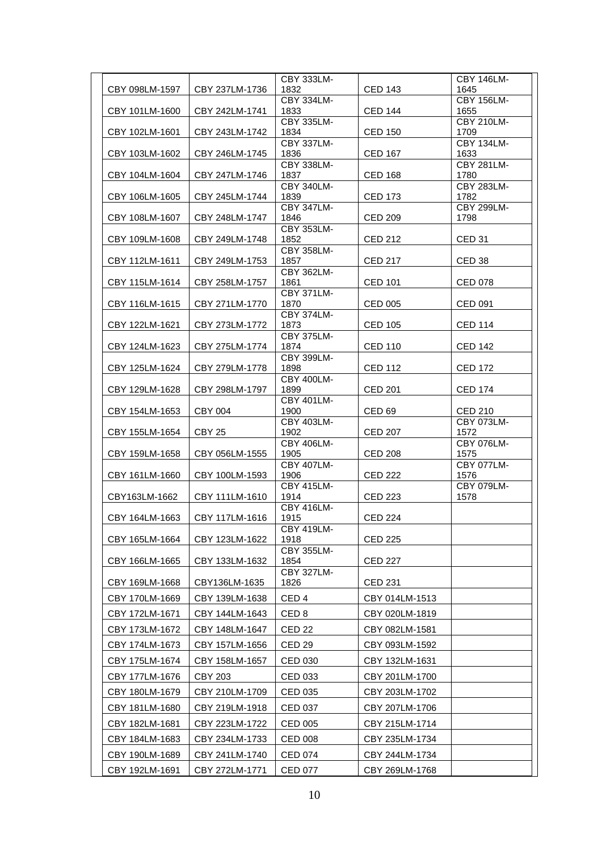|                |                   | CBY 333LM-                |                   | CBY 146LM-                |
|----------------|-------------------|---------------------------|-------------------|---------------------------|
| CBY 098LM-1597 | CBY 237LM-1736    | 1832                      | <b>CED 143</b>    | 1645                      |
|                |                   | CBY 334LM-                |                   | <b>CBY 156LM-</b>         |
| CBY 101LM-1600 | CBY 242LM-1741    | 1833<br><b>CBY 335LM-</b> | <b>CED 144</b>    | 1655<br><b>CBY 210LM-</b> |
| CBY 102LM-1601 | CBY 243LM-1742    | 1834                      | <b>CED 150</b>    | 1709                      |
|                |                   | <b>CBY 337LM-</b>         |                   | <b>CBY 134LM-</b>         |
| CBY 103LM-1602 | CBY 246LM-1745    | 1836<br><b>CBY 338LM-</b> | <b>CED 167</b>    | 1633<br><b>CBY 281LM-</b> |
| CBY 104LM-1604 | CBY 247LM-1746    | 1837                      | <b>CED 168</b>    | 1780                      |
| CBY 106LM-1605 | CBY 245LM-1744    | <b>CBY 340LM-</b><br>1839 | <b>CED 173</b>    | <b>CBY 283LM-</b><br>1782 |
|                |                   | <b>CBY 347LM-</b>         |                   | CBY 299LM-                |
| CBY 108LM-1607 | CBY 248LM-1747    | 1846                      | <b>CED 209</b>    | 1798                      |
| CBY 109LM-1608 | CBY 249LM-1748    | CBY 353LM-<br>1852        | <b>CED 212</b>    | <b>CED 31</b>             |
|                |                   | <b>CBY 358LM-</b>         |                   |                           |
| CBY 112LM-1611 | CBY 249LM-1753    | 1857<br><b>CBY 362LM-</b> | <b>CED 217</b>    | CED <sub>38</sub>         |
| CBY 115LM-1614 | CBY 258LM-1757    | 1861                      | <b>CED 101</b>    | <b>CED 078</b>            |
|                |                   | <b>CBY 371LM-</b>         |                   |                           |
| CBY 116LM-1615 | CBY 271LM-1770    | 1870<br><b>CBY 374LM-</b> | CED 005           | <b>CED 091</b>            |
| CBY 122LM-1621 | CBY 273LM-1772    | 1873                      | <b>CED 105</b>    | <b>CED 114</b>            |
|                |                   | <b>CBY 375LM-</b>         |                   |                           |
| CBY 124LM-1623 | CBY 275LM-1774    | 1874<br><b>CBY 399LM-</b> | <b>CED 110</b>    | <b>CED 142</b>            |
| CBY 125LM-1624 | CBY 279LM-1778    | 1898                      | <b>CED 112</b>    | <b>CED 172</b>            |
|                |                   | <b>CBY 400LM-</b>         |                   |                           |
| CBY 129LM-1628 | CBY 298LM-1797    | 1899<br>CBY 401LM-        | <b>CED 201</b>    | <b>CED 174</b>            |
| CBY 154LM-1653 | <b>CBY 004</b>    | 1900                      | CED <sub>69</sub> | <b>CED 210</b>            |
| CBY 155LM-1654 | CBY <sub>25</sub> | CBY 403LM-<br>1902        | <b>CED 207</b>    | CBY 073LM-<br>1572        |
|                |                   | CBY 406LM-                |                   | <b>CBY 076LM-</b>         |
| CBY 159LM-1658 | CBY 056LM-1555    | 1905                      | <b>CED 208</b>    | 1575                      |
| CBY 161LM-1660 | CBY 100LM-1593    | CBY 407LM-<br>1906        | <b>CED 222</b>    | <b>CBY 077LM-</b><br>1576 |
|                |                   | <b>CBY 415LM-</b>         |                   | CBY 079LM-                |
| CBY163LM-1662  | CBY 111LM-1610    | 1914                      | <b>CED 223</b>    | 1578                      |
| CBY 164LM-1663 | CBY 117LM-1616    | <b>CBY 416LM-</b><br>1915 | <b>CED 224</b>    |                           |
|                |                   | CBY 419LM-                |                   |                           |
| CBY 165LM-1664 | CBY 123LM-1622    | 1918<br><b>CBY 355LM-</b> | CED 225           |                           |
| CBY 166LM-1665 | CBY 133LM-1632    | 1854                      | <b>CED 227</b>    |                           |
|                |                   | <b>CBY 327LM-</b>         |                   |                           |
| CBY 169LM-1668 | CBY136LM-1635     | 1826                      | <b>CED 231</b>    |                           |
| CBY 170LM-1669 | CBY 139LM-1638    | CED <sub>4</sub>          | CBY 014LM-1513    |                           |
| CBY 172LM-1671 | CBY 144LM-1643    | CED <sub>8</sub>          | CBY 020LM-1819    |                           |
| CBY 173LM-1672 | CBY 148LM-1647    | CED <sub>22</sub>         | CBY 082LM-1581    |                           |
| CBY 174LM-1673 | CBY 157LM-1656    | CED <sub>29</sub>         | CBY 093LM-1592    |                           |
| CBY 175LM-1674 | CBY 158LM-1657    | CED 030                   | CBY 132LM-1631    |                           |
| CBY 177LM-1676 | CBY 203           | CED 033                   | CBY 201LM-1700    |                           |
| CBY 180LM-1679 | CBY 210LM-1709    | CED 035                   | CBY 203LM-1702    |                           |
| CBY 181LM-1680 | CBY 219LM-1918    | CED 037                   | CBY 207LM-1706    |                           |
| CBY 182LM-1681 | CBY 223LM-1722    | <b>CED 005</b>            | CBY 215LM-1714    |                           |
| CBY 184LM-1683 | CBY 234LM-1733    | <b>CED 008</b>            | CBY 235LM-1734    |                           |
| CBY 190LM-1689 | CBY 241LM-1740    | <b>CED 074</b>            | CBY 244LM-1734    |                           |
| CBY 192LM-1691 | CBY 272LM-1771    | <b>CED 077</b>            | CBY 269LM-1768    |                           |
|                |                   |                           |                   |                           |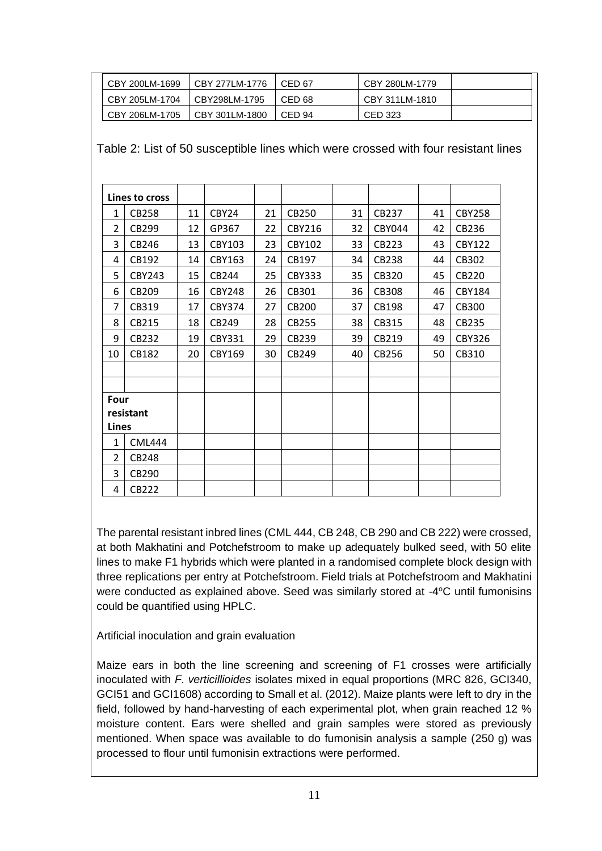| CBY 200LM-1699 | CBY 277LM-1776 | CED 67 | CBY 280LM-1779 |  |
|----------------|----------------|--------|----------------|--|
| CBY 205LM-1704 | CBY298LM-1795  | CED 68 | CBY 311LM-1810 |  |
| CBY 206LM-1705 | CBY 301LM-1800 | CED 94 | CED 323        |  |

Table 2: List of 50 susceptible lines which were crossed with four resistant lines

|                | Lines to cross |    |                   |    |               |    |               |    |               |
|----------------|----------------|----|-------------------|----|---------------|----|---------------|----|---------------|
| 1              | <b>CB258</b>   | 11 | CBY <sub>24</sub> | 21 | CB250         | 31 | CB237         | 41 | <b>CBY258</b> |
| 2              | CB299          | 12 | GP367             | 22 | CBY216        | 32 | <b>CBY044</b> | 42 | CB236         |
| 3              | CB246          | 13 | CBY103            | 23 | <b>CBY102</b> | 33 | CB223         | 43 | <b>CBY122</b> |
| 4              | CB192          | 14 | CBY163            | 24 | CB197         | 34 | <b>CB238</b>  | 44 | CB302         |
| 5              | <b>CBY243</b>  | 15 | CB244             | 25 | <b>CBY333</b> | 35 | CB320         | 45 | <b>CB220</b>  |
| 6              | CB209          | 16 | <b>CBY248</b>     | 26 | CB301         | 36 | <b>CB308</b>  | 46 | <b>CBY184</b> |
| 7              | CB319          | 17 | <b>CBY374</b>     | 27 | <b>CB200</b>  | 37 | CB198         | 47 | <b>CB300</b>  |
| 8              | CB215          | 18 | CB249             | 28 | CB255         | 38 | CB315         | 48 | CB235         |
| 9              | CB232          | 19 | <b>CBY331</b>     | 29 | CB239         | 39 | CB219         | 49 | <b>CBY326</b> |
| 10             | CB182          | 20 | CBY169            | 30 | CB249         | 40 | CB256         | 50 | CB310         |
|                |                |    |                   |    |               |    |               |    |               |
|                |                |    |                   |    |               |    |               |    |               |
| Four           |                |    |                   |    |               |    |               |    |               |
|                | resistant      |    |                   |    |               |    |               |    |               |
| Lines          |                |    |                   |    |               |    |               |    |               |
| 1              | <b>CML444</b>  |    |                   |    |               |    |               |    |               |
| $\overline{2}$ | <b>CB248</b>   |    |                   |    |               |    |               |    |               |
| 3              | CB290          |    |                   |    |               |    |               |    |               |
| 4              | <b>CB222</b>   |    |                   |    |               |    |               |    |               |

The parental resistant inbred lines (CML 444, CB 248, CB 290 and CB 222) were crossed, at both Makhatini and Potchefstroom to make up adequately bulked seed, with 50 elite lines to make F1 hybrids which were planted in a randomised complete block design with three replications per entry at Potchefstroom. Field trials at Potchefstroom and Makhatini were conducted as explained above. Seed was similarly stored at -4°C until fumonisins could be quantified using HPLC.

Artificial inoculation and grain evaluation

Maize ears in both the line screening and screening of F1 crosses were artificially inoculated with *F. verticillioides* isolates mixed in equal proportions (MRC 826, GCI340, GCI51 and GCI1608) according to Small et al. (2012). Maize plants were left to dry in the field, followed by hand-harvesting of each experimental plot, when grain reached 12 % moisture content. Ears were shelled and grain samples were stored as previously mentioned. When space was available to do fumonisin analysis a sample (250 g) was processed to flour until fumonisin extractions were performed.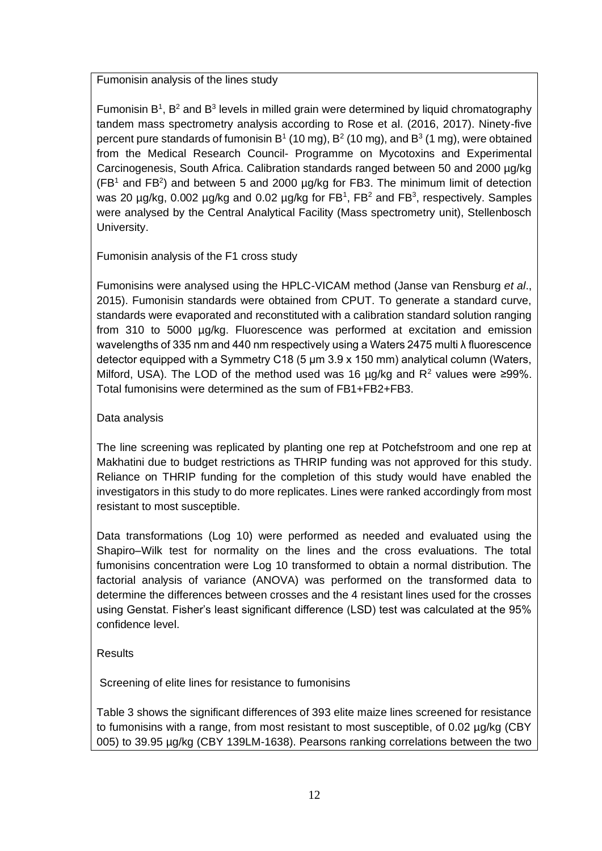Fumonisin analysis of the lines study

Fumonisin  $B^1$ ,  $B^2$  and  $B^3$  levels in milled grain were determined by liquid chromatography tandem mass spectrometry analysis according to Rose et al. (2016, 2017). Ninety-five percent pure standards of fumonisin B<sup>1</sup> (10 mg), B<sup>2</sup> (10 mg), and B<sup>3</sup> (1 mg), were obtained from the Medical Research Council- Programme on Mycotoxins and Experimental Carcinogenesis, South Africa. Calibration standards ranged between 50 and 2000 µg/kg  $(FB<sup>1</sup>$  and FB<sup>2</sup>) and between 5 and 2000  $\mu$ g/kg for FB3. The minimum limit of detection was 20  $\mu$ g/kg, 0.002  $\mu$ g/kg and 0.02  $\mu$ g/kg for FB<sup>1</sup>, FB<sup>2</sup> and FB<sup>3</sup>, respectively. Samples were analysed by the Central Analytical Facility (Mass spectrometry unit), Stellenbosch University.

Fumonisin analysis of the F1 cross study

Fumonisins were analysed using the HPLC-VICAM method (Janse van Rensburg *et al*., 2015). Fumonisin standards were obtained from CPUT. To generate a standard curve, standards were evaporated and reconstituted with a calibration standard solution ranging from 310 to 5000 µg/kg. Fluorescence was performed at excitation and emission wavelengths of 335 nm and 440 nm respectively using a Waters 2475 multi λ fluorescence detector equipped with a Symmetry C18 (5 μm 3.9 x 150 mm) analytical column (Waters, Milford, USA). The LOD of the method used was 16  $\mu$ g/kg and R<sup>2</sup> values were ≥99%. Total fumonisins were determined as the sum of FB1+FB2+FB3.

## Data analysis

The line screening was replicated by planting one rep at Potchefstroom and one rep at Makhatini due to budget restrictions as THRIP funding was not approved for this study. Reliance on THRIP funding for the completion of this study would have enabled the investigators in this study to do more replicates. Lines were ranked accordingly from most resistant to most susceptible.

Data transformations (Log 10) were performed as needed and evaluated using the Shapiro–Wilk test for normality on the lines and the cross evaluations. The total fumonisins concentration were Log 10 transformed to obtain a normal distribution. The factorial analysis of variance (ANOVA) was performed on the transformed data to determine the differences between crosses and the 4 resistant lines used for the crosses using Genstat. Fisher's least significant difference (LSD) test was calculated at the 95% confidence level.

## Results

Screening of elite lines for resistance to fumonisins

Table 3 shows the significant differences of 393 elite maize lines screened for resistance to fumonisins with a range, from most resistant to most susceptible, of 0.02 µg/kg (CBY 005) to 39.95 µg/kg (CBY 139LM-1638). Pearsons ranking correlations between the two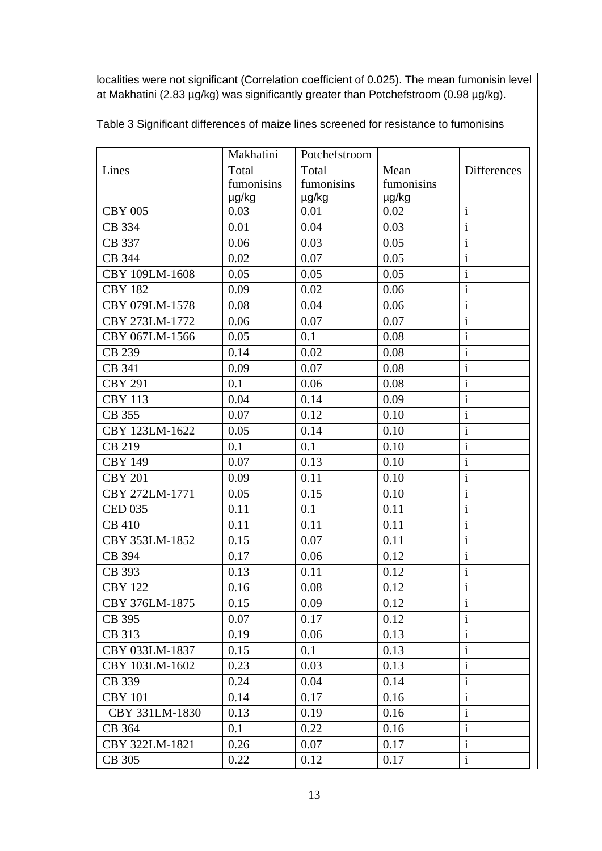localities were not significant (Correlation coefficient of 0.025). The mean fumonisin level at Makhatini (2.83 µg/kg) was significantly greater than Potchefstroom (0.98 µg/kg).

Table 3 Significant differences of maize lines screened for resistance to fumonisins

|                | Makhatini<br>Potchefstroom |                          |       |                           |
|----------------|----------------------------|--------------------------|-------|---------------------------|
| Lines          | Total<br>Total             |                          | Mean  | <b>Differences</b>        |
|                | fumonisins                 | fumonisins<br>fumonisins |       |                           |
|                | µg/kg                      | µg/kg                    | µg/kg |                           |
| <b>CBY 005</b> | 0.03                       | 0.01                     | 0.02  | $\mathbf{i}$              |
| CB 334         | 0.01                       | 0.04                     | 0.03  | $\mathbf{i}$              |
| CB 337         | 0.06                       | 0.03                     | 0.05  | $\mathbf{i}$              |
| CB 344         | 0.02                       | 0.07                     | 0.05  | $\mathbf{i}$              |
| CBY 109LM-1608 | 0.05                       | 0.05                     | 0.05  | $\mathbf{i}$              |
| <b>CBY 182</b> | 0.09                       | 0.02                     | 0.06  | $\mathbf{i}$              |
| CBY 079LM-1578 | 0.08                       | 0.04                     | 0.06  | $\mathbf{i}$              |
| CBY 273LM-1772 | 0.06                       | 0.07                     | 0.07  | $\mathbf{i}$              |
| CBY 067LM-1566 | 0.05                       | 0.1                      | 0.08  | $\mathbf{i}$              |
| CB 239         | 0.14                       | 0.02                     | 0.08  | $\mathbf{i}$              |
| CB 341         | 0.09                       | 0.07                     | 0.08  | $\mathbf{i}$              |
| <b>CBY 291</b> | 0.1                        | 0.06                     | 0.08  | $\overline{\mathbf{i}}$   |
| <b>CBY 113</b> | 0.04                       | 0.14                     | 0.09  | $\mathbf{i}$              |
| CB 355         | 0.07                       | 0.12                     | 0.10  | $\overline{\mathbf{i}}$   |
| CBY 123LM-1622 | 0.05                       | 0.14                     | 0.10  | $\mathbf{i}$              |
| CB 219         | 0.1                        | 0.1                      | 0.10  | $\mathbf{i}$              |
| <b>CBY 149</b> | 0.07                       | 0.13                     | 0.10  | $\mathbf{i}$              |
| <b>CBY 201</b> | 0.09                       | 0.11                     | 0.10  | $\mathbf{i}$              |
| CBY 272LM-1771 | 0.05                       | 0.15                     | 0.10  | $\mathbf{i}$              |
| <b>CED 035</b> | 0.11                       | 0.1                      | 0.11  | $\mathbf{i}$              |
| <b>CB 410</b>  | 0.11                       | 0.11                     | 0.11  | $\mathbf{i}$              |
| CBY 353LM-1852 | 0.15                       | 0.07                     | 0.11  | $\mathbf{i}$              |
| CB 394         | 0.17                       | 0.06                     | 0.12  | $\mathbf{i}$              |
| CB 393         | 0.13                       | 0.11                     | 0.12  | $\mathbf{i}$              |
| <b>CBY 122</b> | 0.16                       | 0.08                     | 0.12  | $\mathbf{1}$              |
| CBY 376LM-1875 | 0.15                       | 0.09                     | 0.12  | $\overline{\overline{i}}$ |
| CB 395         | 0.07                       | 0.17                     | 0.12  | 1                         |
| CB 313         | 0.19                       | 0.06                     | 0.13  | $\mathbf{i}$              |
| CBY 033LM-1837 | 0.15                       | 0.1                      | 0.13  | $\mathbf{i}$              |
| CBY 103LM-1602 | 0.23                       | 0.03                     | 0.13  | $\mathbf{i}$              |
| CB 339         | 0.24                       | 0.04                     | 0.14  | $\mathbf{i}$              |
| <b>CBY 101</b> | 0.14                       | 0.17                     | 0.16  | $\mathbf{i}$              |
| CBY 331LM-1830 | 0.13                       | 0.19                     | 0.16  | 1                         |
| CB 364         | 0.1                        | 0.22                     | 0.16  | $\mathbf{i}$              |
| CBY 322LM-1821 | 0.26                       | 0.07                     | 0.17  | $\mathbf{i}$              |
| CB 305         | 0.22                       | 0.12                     | 0.17  | $\mathbf{i}$              |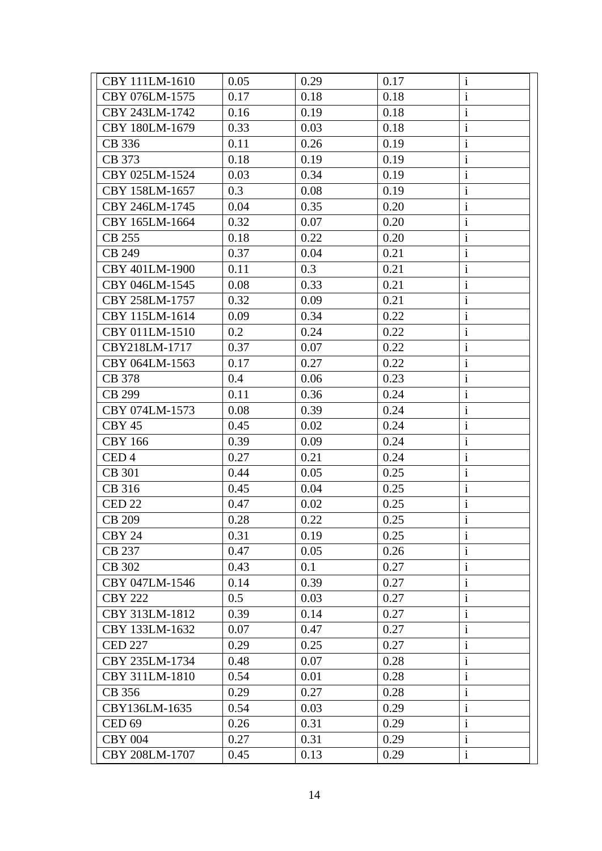| CBY 111LM-1610    | 0.05 | 0.29 | 0.17 | $\mathbf{i}$ |
|-------------------|------|------|------|--------------|
| CBY 076LM-1575    | 0.17 | 0.18 | 0.18 | $\mathbf{i}$ |
| CBY 243LM-1742    | 0.16 | 0.19 | 0.18 | $\mathbf{i}$ |
| CBY 180LM-1679    | 0.33 | 0.03 | 0.18 | $\mathbf{i}$ |
| CB 336            | 0.11 | 0.26 | 0.19 | $\mathbf{i}$ |
| CB 373            | 0.18 | 0.19 | 0.19 | $\mathbf{i}$ |
| CBY 025LM-1524    | 0.03 | 0.34 | 0.19 | $\mathbf{i}$ |
| CBY 158LM-1657    | 0.3  | 0.08 | 0.19 | $\mathbf{i}$ |
| CBY 246LM-1745    | 0.04 | 0.35 | 0.20 | $\mathbf{i}$ |
| CBY 165LM-1664    | 0.32 | 0.07 | 0.20 | $\mathbf{i}$ |
| CB 255            | 0.18 | 0.22 | 0.20 | $\mathbf{i}$ |
| <b>CB 249</b>     | 0.37 | 0.04 | 0.21 | $\mathbf{i}$ |
| CBY 401LM-1900    | 0.11 | 0.3  | 0.21 | $\mathbf{i}$ |
| CBY 046LM-1545    | 0.08 | 0.33 | 0.21 | $\mathbf{i}$ |
| CBY 258LM-1757    | 0.32 | 0.09 | 0.21 | $\mathbf{i}$ |
| CBY 115LM-1614    | 0.09 | 0.34 | 0.22 | $\mathbf{i}$ |
| CBY 011LM-1510    | 0.2  | 0.24 | 0.22 | $\mathbf{i}$ |
| CBY218LM-1717     | 0.37 | 0.07 | 0.22 | $\mathbf{i}$ |
| CBY 064LM-1563    | 0.17 | 0.27 | 0.22 | $\mathbf{i}$ |
| CB 378            | 0.4  | 0.06 | 0.23 | $\mathbf{i}$ |
| CB 299            | 0.11 | 0.36 | 0.24 | $\mathbf{i}$ |
| CBY 074LM-1573    | 0.08 | 0.39 | 0.24 | $\mathbf{i}$ |
| CBY 45            | 0.45 | 0.02 | 0.24 | $\mathbf{i}$ |
| <b>CBY 166</b>    | 0.39 | 0.09 | 0.24 | $\rm i$      |
| CED <sub>4</sub>  | 0.27 | 0.21 | 0.24 | $\mathbf{i}$ |
| <b>CB</b> 301     | 0.44 | 0.05 | 0.25 | $\mathbf{i}$ |
| CB 316            | 0.45 | 0.04 | 0.25 | $\mathbf{i}$ |
| CED <sub>22</sub> | 0.47 | 0.02 | 0.25 | $\mathbf{i}$ |
| CB 209            | 0.28 | 0.22 | 0.25 | $\mathbf{i}$ |
| CBY 24            | 0.31 | 0.19 | 0.25 | $\mathbf{i}$ |
| CB 237            | 0.47 | 0.05 | 0.26 | $\mathbf i$  |
| CB 302            | 0.43 | 0.1  | 0.27 | $\mathbf{i}$ |
| CBY 047LM-1546    | 0.14 | 0.39 | 0.27 | $\mathbf{i}$ |
| <b>CBY 222</b>    | 0.5  | 0.03 | 0.27 | $\mathbf{i}$ |
| CBY 313LM-1812    | 0.39 | 0.14 | 0.27 | $\mathbf{i}$ |
| CBY 133LM-1632    | 0.07 | 0.47 | 0.27 | $\mathbf{i}$ |
| <b>CED 227</b>    | 0.29 | 0.25 | 0.27 | $\mathbf{i}$ |
| CBY 235LM-1734    | 0.48 | 0.07 | 0.28 | $\mathbf{i}$ |
| CBY 311LM-1810    | 0.54 | 0.01 | 0.28 | $\mathbf{i}$ |
| CB 356            | 0.29 | 0.27 | 0.28 | $\mathbf{i}$ |
| CBY136LM-1635     | 0.54 | 0.03 | 0.29 | $\mathbf{i}$ |
| CED <sub>69</sub> | 0.26 | 0.31 | 0.29 | $\mathbf{i}$ |
| <b>CBY 004</b>    | 0.27 | 0.31 | 0.29 | $\mathbf i$  |
| CBY 208LM-1707    | 0.45 | 0.13 | 0.29 | $\mathbf{i}$ |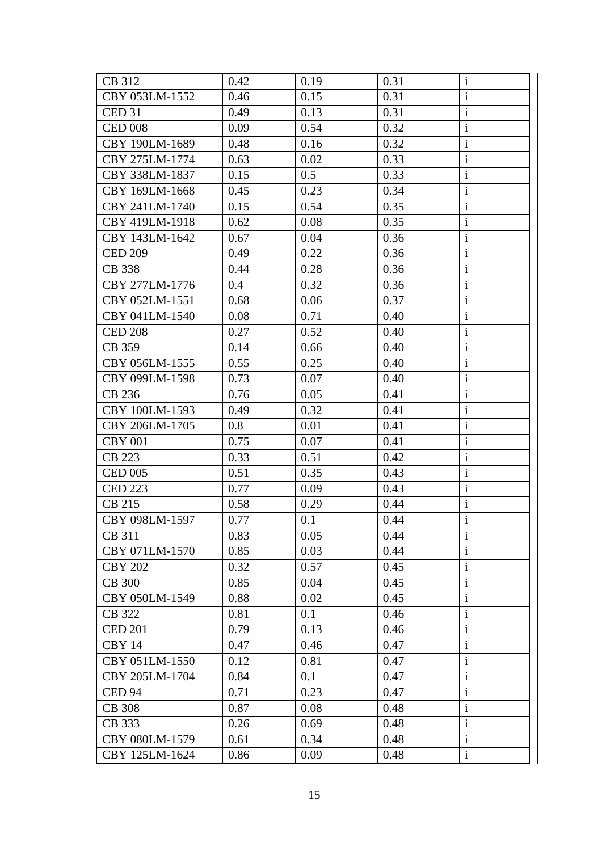| CB 312            | 0.42 | 0.19 | 0.31 | $\mathbf{i}$ |
|-------------------|------|------|------|--------------|
| CBY 053LM-1552    | 0.46 | 0.15 | 0.31 | $\mathbf{i}$ |
| CED <sub>31</sub> | 0.49 | 0.13 | 0.31 | $\mathbf{i}$ |
| <b>CED 008</b>    | 0.09 | 0.54 | 0.32 | $\mathbf{i}$ |
| CBY 190LM-1689    | 0.48 | 0.16 | 0.32 | $\mathbf{i}$ |
| CBY 275LM-1774    | 0.63 | 0.02 | 0.33 | $\mathbf{i}$ |
| CBY 338LM-1837    | 0.15 | 0.5  | 0.33 | $\mathbf{i}$ |
| CBY 169LM-1668    | 0.45 | 0.23 | 0.34 | $\mathbf{i}$ |
| CBY 241LM-1740    | 0.15 | 0.54 | 0.35 | $\mathbf{i}$ |
| CBY 419LM-1918    | 0.62 | 0.08 | 0.35 | $\mathbf{i}$ |
| CBY 143LM-1642    | 0.67 | 0.04 | 0.36 | $\mathbf{i}$ |
| <b>CED 209</b>    | 0.49 | 0.22 | 0.36 | $\mathbf{i}$ |
| CB 338            | 0.44 | 0.28 | 0.36 | $\mathbf{i}$ |
| CBY 277LM-1776    | 0.4  | 0.32 | 0.36 | $\mathbf{i}$ |
| CBY 052LM-1551    | 0.68 | 0.06 | 0.37 | $\mathbf{i}$ |
| CBY 041LM-1540    | 0.08 | 0.71 | 0.40 | $\mathbf{i}$ |
| <b>CED 208</b>    | 0.27 | 0.52 | 0.40 | $\mathbf{i}$ |
| CB 359            | 0.14 | 0.66 | 0.40 | $\mathbf{i}$ |
| CBY 056LM-1555    | 0.55 | 0.25 | 0.40 | $\mathbf{i}$ |
| CBY 099LM-1598    | 0.73 | 0.07 | 0.40 | $\mathbf{i}$ |
| CB 236            | 0.76 | 0.05 | 0.41 | $\mathbf{i}$ |
| CBY 100LM-1593    | 0.49 | 0.32 | 0.41 | $\mathbf{i}$ |
| CBY 206LM-1705    | 0.8  | 0.01 | 0.41 | $\mathbf{i}$ |
| <b>CBY 001</b>    | 0.75 | 0.07 | 0.41 | $\rm i$      |
| CB 223            | 0.33 | 0.51 | 0.42 | $\mathbf{i}$ |
| <b>CED 005</b>    | 0.51 | 0.35 | 0.43 | $\mathbf{i}$ |
| <b>CED 223</b>    | 0.77 | 0.09 | 0.43 | $\mathbf{i}$ |
| CB 215            | 0.58 | 0.29 | 0.44 | $\mathbf{i}$ |
| CBY 098LM-1597    | 0.77 | 0.1  | 0.44 | $\mathbf{i}$ |
| CB 311            | 0.83 | 0.05 | 0.44 | $\mathbf{i}$ |
| CBY 071LM-1570    | 0.85 | 0.03 | 0.44 | $\mathbf{i}$ |
| <b>CBY 202</b>    | 0.32 | 0.57 | 0.45 | $\mathbf{i}$ |
| <b>CB 300</b>     | 0.85 | 0.04 | 0.45 | $\mathbf{i}$ |
| CBY 050LM-1549    | 0.88 | 0.02 | 0.45 | $\mathbf{i}$ |
| CB 322            | 0.81 | 0.1  | 0.46 | $\mathbf{i}$ |
| <b>CED 201</b>    | 0.79 | 0.13 | 0.46 | $\mathbf{i}$ |
| CBY 14            | 0.47 | 0.46 | 0.47 | $\mathbf{i}$ |
| CBY 051LM-1550    | 0.12 | 0.81 | 0.47 | $\mathbf{i}$ |
| CBY 205LM-1704    | 0.84 | 0.1  | 0.47 | $\mathbf{i}$ |
| CED <sub>94</sub> | 0.71 | 0.23 | 0.47 | $\mathbf{i}$ |
| <b>CB</b> 308     | 0.87 | 0.08 | 0.48 | $\mathbf{i}$ |
| CB 333            | 0.26 | 0.69 | 0.48 | $\mathbf{i}$ |
| CBY 080LM-1579    | 0.61 | 0.34 | 0.48 | $\mathbf i$  |
| CBY 125LM-1624    | 0.86 | 0.09 | 0.48 | $\mathbf{i}$ |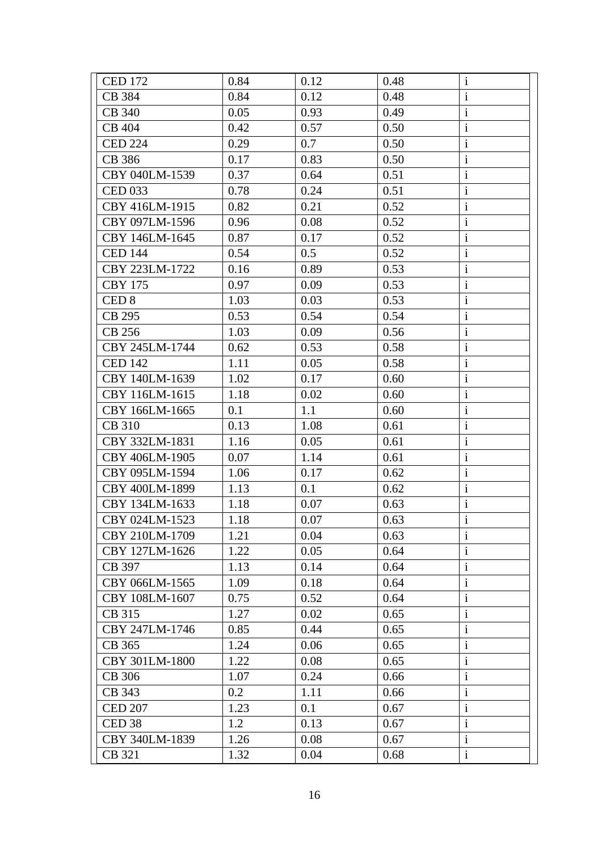| <b>CED 172</b>    | 0.84 | 0.12 | 0.48 | $\mathbf{i}$ |
|-------------------|------|------|------|--------------|
| CB 384            | 0.84 | 0.12 | 0.48 | $\mathbf{i}$ |
| <b>CB 340</b>     | 0.05 | 0.93 | 0.49 | $\mathbf{i}$ |
| <b>CB 404</b>     | 0.42 | 0.57 | 0.50 | $\mathbf{i}$ |
| <b>CED 224</b>    | 0.29 | 0.7  | 0.50 | $\mathbf{i}$ |
| CB 386            | 0.17 | 0.83 | 0.50 | $\mathbf{i}$ |
| CBY 040LM-1539    | 0.37 | 0.64 | 0.51 | $\mathbf{i}$ |
| <b>CED 033</b>    | 0.78 | 0.24 | 0.51 | $\mathbf{i}$ |
| CBY 416LM-1915    | 0.82 | 0.21 | 0.52 | $\mathbf{i}$ |
| CBY 097LM-1596    | 0.96 | 0.08 | 0.52 | $\mathbf{i}$ |
| CBY 146LM-1645    | 0.87 | 0.17 | 0.52 | $\mathbf{i}$ |
| <b>CED 144</b>    | 0.54 | 0.5  | 0.52 | $\mathbf{i}$ |
| CBY 223LM-1722    | 0.16 | 0.89 | 0.53 | $\mathbf{i}$ |
| <b>CBY 175</b>    | 0.97 | 0.09 | 0.53 | $\mathbf{i}$ |
| CED <sub>8</sub>  | 1.03 | 0.03 | 0.53 | $\mathbf{i}$ |
| CB 295            | 0.53 | 0.54 | 0.54 | $\mathbf{i}$ |
| CB 256            | 1.03 | 0.09 | 0.56 | $\mathbf{i}$ |
| CBY 245LM-1744    | 0.62 | 0.53 | 0.58 | $\mathbf{i}$ |
| <b>CED 142</b>    | 1.11 | 0.05 | 0.58 | $\mathbf{i}$ |
| CBY 140LM-1639    | 1.02 | 0.17 | 0.60 | $\mathbf{i}$ |
| CBY 116LM-1615    | 1.18 | 0.02 | 0.60 | $\mathbf{i}$ |
| CBY 166LM-1665    | 0.1  | 1.1  | 0.60 | $\mathbf{i}$ |
| <b>CB 310</b>     | 0.13 | 1.08 | 0.61 | $\mathbf{i}$ |
| CBY 332LM-1831    | 1.16 | 0.05 | 0.61 | $\rm i$      |
| CBY 406LM-1905    | 0.07 | 1.14 | 0.61 | $\mathbf{i}$ |
| CBY 095LM-1594    | 1.06 | 0.17 | 0.62 | $\mathbf{i}$ |
| CBY 400LM-1899    | 1.13 | 0.1  | 0.62 | $\mathbf{i}$ |
| CBY 134LM-1633    | 1.18 | 0.07 | 0.63 | $\mathbf{i}$ |
| CBY 024LM-1523    | 1.18 | 0.07 | 0.63 | $\mathbf{i}$ |
| CBY 210LM-1709    | 1.21 | 0.04 | 0.63 | $\mathbf{i}$ |
| CBY 127LM-1626    | 1.22 | 0.05 | 0.64 | $\mathbf{i}$ |
| CB 397            | 1.13 | 0.14 | 0.64 | $\mathbf{i}$ |
| CBY 066LM-1565    | 1.09 | 0.18 | 0.64 | $\mathbf{i}$ |
| CBY 108LM-1607    | 0.75 | 0.52 | 0.64 | $\mathbf{i}$ |
| CB 315            | 1.27 | 0.02 | 0.65 | $\mathbf{i}$ |
| CBY 247LM-1746    | 0.85 | 0.44 | 0.65 | $\mathbf{i}$ |
| CB 365            | 1.24 | 0.06 | 0.65 | $\mathbf{i}$ |
| CBY 301LM-1800    | 1.22 | 0.08 | 0.65 | $\mathbf{i}$ |
| CB 306            | 1.07 | 0.24 | 0.66 | $\mathbf{i}$ |
| CB 343            | 0.2  | 1.11 | 0.66 | $\mathbf{i}$ |
| <b>CED 207</b>    | 1.23 | 0.1  | 0.67 | $\mathbf{i}$ |
| CED <sub>38</sub> | 1.2  | 0.13 | 0.67 | $\mathbf{i}$ |
| CBY 340LM-1839    | 1.26 | 0.08 | 0.67 | $\mathbf i$  |
| CB 321            | 1.32 | 0.04 | 0.68 | $\mathbf{i}$ |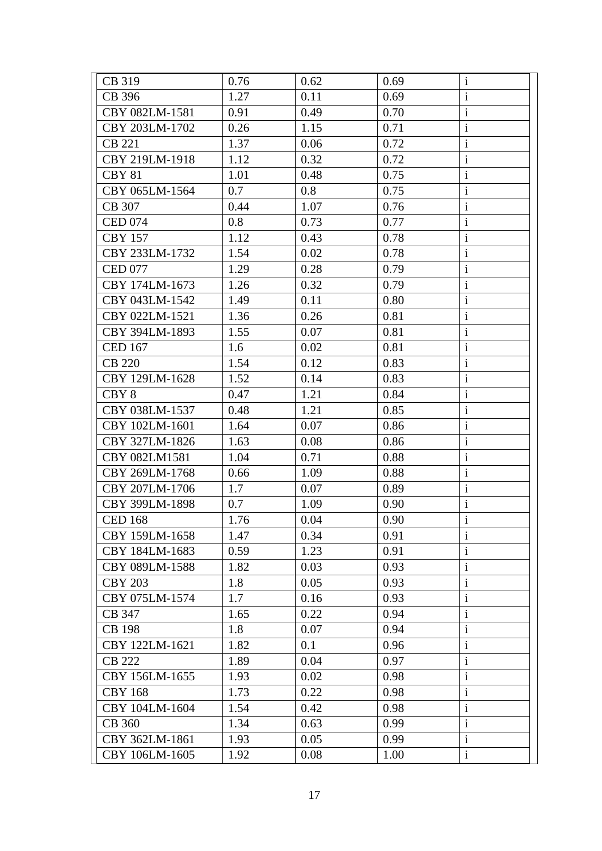| CB 319           | 0.76 | 0.62 | 0.69 | $\mathbf{i}$ |
|------------------|------|------|------|--------------|
| CB 396           | 1.27 | 0.11 | 0.69 | $\mathbf{i}$ |
| CBY 082LM-1581   | 0.91 | 0.49 | 0.70 | $\mathbf{i}$ |
| CBY 203LM-1702   | 0.26 | 1.15 | 0.71 | $\mathbf{i}$ |
| CB 221           | 1.37 | 0.06 | 0.72 | $\mathbf{i}$ |
| CBY 219LM-1918   | 1.12 | 0.32 | 0.72 | $\mathbf{i}$ |
| <b>CBY 81</b>    | 1.01 | 0.48 | 0.75 | $\mathbf{i}$ |
| CBY 065LM-1564   | 0.7  | 0.8  | 0.75 | $\mathbf{i}$ |
| CB 307           | 0.44 | 1.07 | 0.76 | $\mathbf{i}$ |
| <b>CED 074</b>   | 0.8  | 0.73 | 0.77 | $\mathbf{i}$ |
| <b>CBY 157</b>   | 1.12 | 0.43 | 0.78 | $\mathbf{i}$ |
| CBY 233LM-1732   | 1.54 | 0.02 | 0.78 | $\mathbf{i}$ |
| <b>CED 077</b>   | 1.29 | 0.28 | 0.79 | $\mathbf{i}$ |
| CBY 174LM-1673   | 1.26 | 0.32 | 0.79 | $\mathbf{i}$ |
| CBY 043LM-1542   | 1.49 | 0.11 | 0.80 | $\mathbf{i}$ |
| CBY 022LM-1521   | 1.36 | 0.26 | 0.81 | $\mathbf{i}$ |
| CBY 394LM-1893   | 1.55 | 0.07 | 0.81 | $\mathbf{i}$ |
| <b>CED 167</b>   | 1.6  | 0.02 | 0.81 | $\mathbf{i}$ |
| <b>CB 220</b>    | 1.54 | 0.12 | 0.83 | $\mathbf{i}$ |
| CBY 129LM-1628   | 1.52 | 0.14 | 0.83 | $\mathbf{i}$ |
| CBY <sub>8</sub> | 0.47 | 1.21 | 0.84 | $\mathbf{i}$ |
| CBY 038LM-1537   | 0.48 | 1.21 | 0.85 | $\mathbf{i}$ |
| CBY 102LM-1601   | 1.64 | 0.07 | 0.86 | $\mathbf{i}$ |
| CBY 327LM-1826   | 1.63 | 0.08 | 0.86 | $\mathbf{i}$ |
| CBY 082LM1581    | 1.04 | 0.71 | 0.88 | $\mathbf{i}$ |
| CBY 269LM-1768   | 0.66 | 1.09 | 0.88 | $\mathbf{i}$ |
| CBY 207LM-1706   | 1.7  | 0.07 | 0.89 | $\mathbf{i}$ |
| CBY 399LM-1898   | 0.7  | 1.09 | 0.90 | $\mathbf{i}$ |
| <b>CED 168</b>   | 1.76 | 0.04 | 0.90 | $\mathbf{i}$ |
| CBY 159LM-1658   | 1.47 | 0.34 | 0.91 | $\mathbf{i}$ |
| CBY 184LM-1683   | 0.59 | 1.23 | 0.91 | $\mathbf{i}$ |
| CBY 089LM-1588   | 1.82 | 0.03 | 0.93 | $\mathbf{i}$ |
| <b>CBY 203</b>   | 1.8  | 0.05 | 0.93 | $\mathbf{i}$ |
| CBY 075LM-1574   | 1.7  | 0.16 | 0.93 | $\mathbf{i}$ |
| CB 347           | 1.65 | 0.22 | 0.94 | $\mathbf{i}$ |
| <b>CB</b> 198    | 1.8  | 0.07 | 0.94 | $\mathbf{i}$ |
| CBY 122LM-1621   | 1.82 | 0.1  | 0.96 | $\mathbf{i}$ |
| <b>CB 222</b>    | 1.89 | 0.04 | 0.97 | $\mathbf{i}$ |
| CBY 156LM-1655   | 1.93 | 0.02 | 0.98 | $\mathbf{i}$ |
| <b>CBY 168</b>   | 1.73 | 0.22 | 0.98 | $\mathbf{i}$ |
| CBY 104LM-1604   | 1.54 | 0.42 | 0.98 | $\mathbf{i}$ |
| <b>CB 360</b>    | 1.34 | 0.63 | 0.99 | $\mathbf{i}$ |
| CBY 362LM-1861   | 1.93 | 0.05 | 0.99 | $\mathbf i$  |
| CBY 106LM-1605   | 1.92 | 0.08 | 1.00 | $\mathbf{i}$ |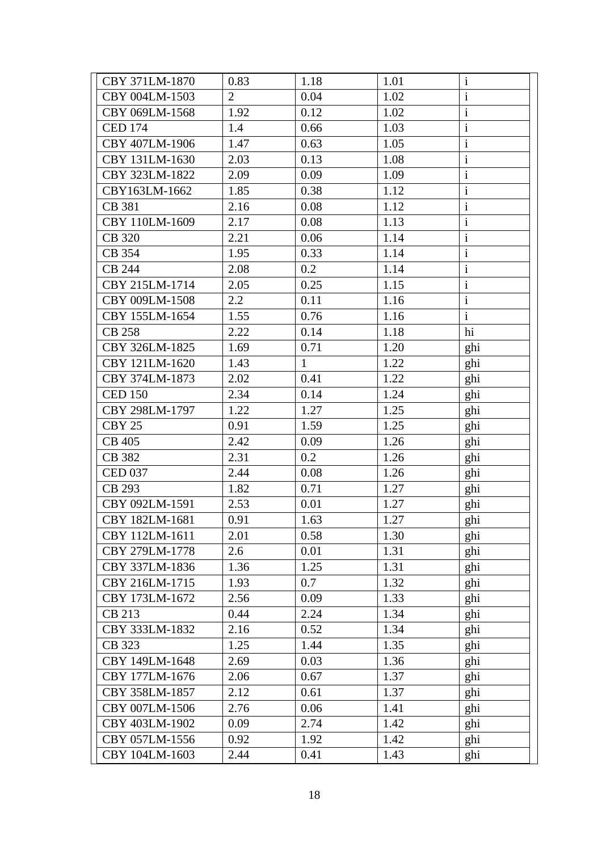| CBY 371LM-1870 | 0.83           | 1.18         | 1.01 | $\mathbf{1}$            |
|----------------|----------------|--------------|------|-------------------------|
| CBY 004LM-1503 | $\overline{2}$ | 0.04         | 1.02 | $\rm i$                 |
| CBY 069LM-1568 | 1.92           | 0.12         | 1.02 | $\mathbf{i}$            |
| <b>CED 174</b> | 1.4            | 0.66         | 1.03 | $\mathbf{i}$            |
| CBY 407LM-1906 | 1.47           | 0.63         | 1.05 | $\rm i$                 |
| CBY 131LM-1630 | 2.03           | 0.13         | 1.08 | $\mathbf{i}$            |
| CBY 323LM-1822 | 2.09           | 0.09         | 1.09 | $\rm i$                 |
| CBY163LM-1662  | 1.85           | 0.38         | 1.12 | $\mathbf{i}$            |
| CB 381         | 2.16           | 0.08         | 1.12 | $\overline{\mathbf{i}}$ |
| CBY 110LM-1609 | 2.17           | 0.08         | 1.13 | $\mathbf{i}$            |
| <b>CB</b> 320  | 2.21           | 0.06         | 1.14 | $\mathbf{i}$            |
| CB 354         | 1.95           | 0.33         | 1.14 | $\mathbf{i}$            |
| <b>CB 244</b>  | 2.08           | 0.2          | 1.14 | $\mathbf{i}$            |
| CBY 215LM-1714 | 2.05           | 0.25         | 1.15 | $\mathbf i$             |
| CBY 009LM-1508 | 2.2            | 0.11         | 1.16 | $\mathbf{i}$            |
| CBY 155LM-1654 | 1.55           | 0.76         | 1.16 | $\mathbf{i}$            |
| <b>CB 258</b>  | 2.22           | 0.14         | 1.18 | hi                      |
| CBY 326LM-1825 | 1.69           | 0.71         | 1.20 | ghi                     |
| CBY 121LM-1620 | 1.43           | $\mathbf{1}$ | 1.22 | ghi                     |
| CBY 374LM-1873 | 2.02           | 0.41         | 1.22 | ghi                     |
| <b>CED 150</b> | 2.34           | 0.14         | 1.24 | ghi                     |
| CBY 298LM-1797 | 1.22           | 1.27         | 1.25 | ghi                     |
| CBY 25         | 0.91           | 1.59         | 1.25 | ghi                     |
| <b>CB 405</b>  | 2.42           | 0.09         | 1.26 | ghi                     |
| CB 382         | 2.31           | 0.2          | 1.26 | ghi                     |
| <b>CED 037</b> | 2.44           | 0.08         | 1.26 | ghi                     |
| CB 293         | 1.82           | 0.71         | 1.27 | ghi                     |
| CBY 092LM-1591 | 2.53           | 0.01         | 1.27 | ghi                     |
| CBY 182LM-1681 | 0.91           | 1.63         | 1.27 | ghi                     |
| CBY 112LM-1611 | 2.01           | 0.58         | 1.30 | ghi                     |
| CBY 279LM-1778 | 2.6            | 0.01         | 1.31 | ghi                     |
| CBY 337LM-1836 | 1.36           | 1.25         | 1.31 | ghi                     |
| CBY 216LM-1715 | 1.93           | 0.7          | 1.32 | ghi                     |
| CBY 173LM-1672 | 2.56           | 0.09         | 1.33 | ghi                     |
| CB 213         | 0.44           | 2.24         | 1.34 | ghi                     |
| CBY 333LM-1832 | 2.16           | 0.52         | 1.34 | ghi                     |
| CB 323         | 1.25           | 1.44         | 1.35 | ghi                     |
| CBY 149LM-1648 | 2.69           | 0.03         | 1.36 | ghi                     |
| CBY 177LM-1676 | 2.06           | 0.67         | 1.37 | ghi                     |
| CBY 358LM-1857 | 2.12           | 0.61         | 1.37 | ghi                     |
| CBY 007LM-1506 | 2.76           | 0.06         | 1.41 | ghi                     |
| CBY 403LM-1902 | 0.09           | 2.74         | 1.42 | ghi                     |
| CBY 057LM-1556 | 0.92           | 1.92         | 1.42 | ghi                     |
| CBY 104LM-1603 | 2.44           | 0.41         | 1.43 | ghi                     |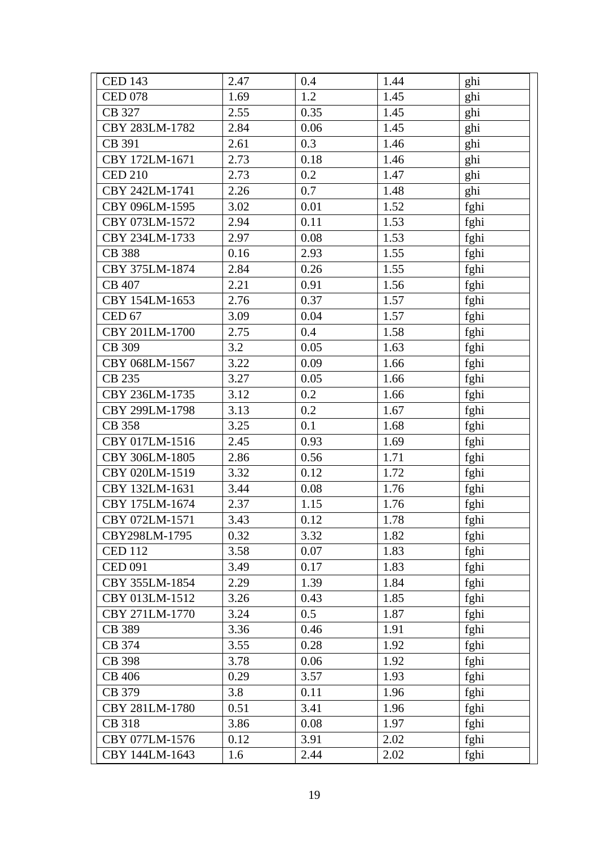| <b>CED 143</b> | 2.47 | 0.4  | 1.44 | ghi  |
|----------------|------|------|------|------|
| <b>CED 078</b> | 1.69 | 1.2  | 1.45 | ghi  |
| CB 327         | 2.55 | 0.35 | 1.45 | ghi  |
| CBY 283LM-1782 | 2.84 | 0.06 | 1.45 | ghi  |
| CB 391         | 2.61 | 0.3  | 1.46 | ghi  |
| CBY 172LM-1671 | 2.73 | 0.18 | 1.46 | ghi  |
| <b>CED 210</b> | 2.73 | 0.2  | 1.47 | ghi  |
| CBY 242LM-1741 | 2.26 | 0.7  | 1.48 | ghi  |
| CBY 096LM-1595 | 3.02 | 0.01 | 1.52 | fghi |
| CBY 073LM-1572 | 2.94 | 0.11 | 1.53 | fghi |
| CBY 234LM-1733 | 2.97 | 0.08 | 1.53 | fghi |
| <b>CB</b> 388  | 0.16 | 2.93 | 1.55 | fghi |
| CBY 375LM-1874 | 2.84 | 0.26 | 1.55 | fghi |
| CB 407         | 2.21 | 0.91 | 1.56 | fghi |
| CBY 154LM-1653 | 2.76 | 0.37 | 1.57 | fghi |
| <b>CED 67</b>  | 3.09 | 0.04 | 1.57 | fghi |
| CBY 201LM-1700 | 2.75 | 0.4  | 1.58 | fghi |
| CB 309         | 3.2  | 0.05 | 1.63 | fghi |
| CBY 068LM-1567 | 3.22 | 0.09 | 1.66 | fghi |
| CB 235         | 3.27 | 0.05 | 1.66 | fghi |
| CBY 236LM-1735 | 3.12 | 0.2  | 1.66 | fghi |
| CBY 299LM-1798 | 3.13 | 0.2  | 1.67 | fghi |
| <b>CB</b> 358  | 3.25 | 0.1  | 1.68 | fghi |
| CBY 017LM-1516 | 2.45 | 0.93 | 1.69 | fghi |
| CBY 306LM-1805 | 2.86 | 0.56 | 1.71 | fghi |
| CBY 020LM-1519 | 3.32 | 0.12 | 1.72 | fghi |
| CBY 132LM-1631 | 3.44 | 0.08 | 1.76 | fghi |
| CBY 175LM-1674 | 2.37 | 1.15 | 1.76 | fghi |
| CBY 072LM-1571 | 3.43 | 0.12 | 1.78 | fghi |
| CBY298LM-1795  | 0.32 | 3.32 | 1.82 | fghi |
| <b>CED 112</b> | 3.58 | 0.07 | 1.83 | fghi |
| <b>CED 091</b> | 3.49 | 0.17 | 1.83 | fghi |
| CBY 355LM-1854 | 2.29 | 1.39 | 1.84 | fghi |
| CBY 013LM-1512 | 3.26 | 0.43 | 1.85 | fghi |
| CBY 271LM-1770 | 3.24 | 0.5  | 1.87 | fghi |
| CB 389         | 3.36 | 0.46 | 1.91 | fghi |
| CB 374         | 3.55 | 0.28 | 1.92 | fghi |
| CB 398         | 3.78 | 0.06 | 1.92 | fghi |
| <b>CB 406</b>  | 0.29 | 3.57 | 1.93 | fghi |
| CB 379         | 3.8  | 0.11 | 1.96 | fghi |
| CBY 281LM-1780 | 0.51 | 3.41 | 1.96 | fghi |
| <b>CB</b> 318  | 3.86 | 0.08 | 1.97 | fghi |
| CBY 077LM-1576 | 0.12 | 3.91 | 2.02 | fghi |
| CBY 144LM-1643 | 1.6  | 2.44 | 2.02 | fghi |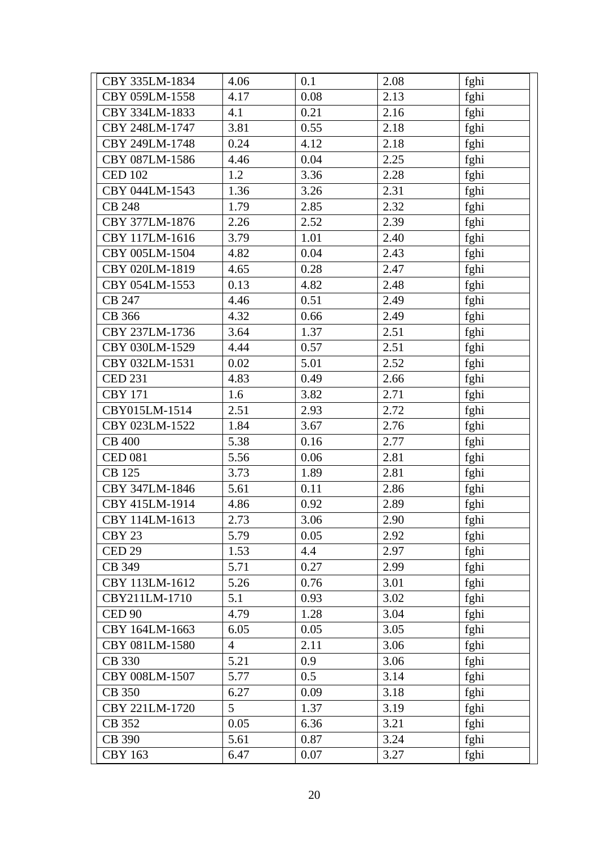| CBY 335LM-1834    | 4.06           | 0.1  | 2.08 | fghi |
|-------------------|----------------|------|------|------|
| CBY 059LM-1558    | 4.17           | 0.08 | 2.13 | fghi |
| CBY 334LM-1833    | 4.1            | 0.21 | 2.16 | fghi |
| CBY 248LM-1747    | 3.81           | 0.55 | 2.18 | fghi |
| CBY 249LM-1748    | 0.24           | 4.12 | 2.18 | fghi |
| CBY 087LM-1586    | 4.46           | 0.04 | 2.25 | fghi |
| <b>CED 102</b>    | 1.2            | 3.36 | 2.28 | fghi |
| CBY 044LM-1543    | 1.36           | 3.26 | 2.31 | fghi |
| <b>CB 248</b>     | 1.79           | 2.85 | 2.32 | fghi |
| CBY 377LM-1876    | 2.26           | 2.52 | 2.39 | fghi |
| CBY 117LM-1616    | 3.79           | 1.01 | 2.40 | fghi |
| CBY 005LM-1504    | 4.82           | 0.04 | 2.43 | fghi |
| CBY 020LM-1819    | 4.65           | 0.28 | 2.47 | fghi |
| CBY 054LM-1553    | 0.13           | 4.82 | 2.48 | fghi |
| CB 247            | 4.46           | 0.51 | 2.49 | fghi |
| CB 366            | 4.32           | 0.66 | 2.49 | fghi |
| CBY 237LM-1736    | 3.64           | 1.37 | 2.51 | fghi |
| CBY 030LM-1529    | 4.44           | 0.57 | 2.51 | fghi |
| CBY 032LM-1531    | 0.02           | 5.01 | 2.52 | fghi |
| <b>CED 231</b>    | 4.83           | 0.49 | 2.66 | fghi |
| <b>CBY 171</b>    | 1.6            | 3.82 | 2.71 | fghi |
| CBY015LM-1514     | 2.51           | 2.93 | 2.72 | fghi |
| CBY 023LM-1522    | 1.84           | 3.67 | 2.76 | fghi |
| <b>CB 400</b>     | 5.38           | 0.16 | 2.77 | fghi |
| <b>CED 081</b>    | 5.56           | 0.06 | 2.81 | fghi |
| CB 125            | 3.73           | 1.89 | 2.81 | fghi |
| CBY 347LM-1846    | 5.61           | 0.11 | 2.86 | fghi |
| CBY 415LM-1914    | 4.86           | 0.92 | 2.89 | fghi |
| CBY 114LM-1613    | 2.73           | 3.06 | 2.90 | fghi |
| CBY <sub>23</sub> | 5.79           | 0.05 | 2.92 | fghi |
| CED <sub>29</sub> | 1.53           | 4.4  | 2.97 | fghi |
| CB 349            | 5.71           | 0.27 | 2.99 | fghi |
| CBY 113LM-1612    | 5.26           | 0.76 | 3.01 | fghi |
| CBY211LM-1710     | 5.1            | 0.93 | 3.02 | fghi |
| <b>CED 90</b>     | 4.79           | 1.28 | 3.04 | fghi |
| CBY 164LM-1663    | 6.05           | 0.05 | 3.05 | fghi |
| CBY 081LM-1580    | $\overline{4}$ | 2.11 | 3.06 | fghi |
| CB 330            | 5.21           | 0.9  | 3.06 | fghi |
| CBY 008LM-1507    | 5.77           | 0.5  | 3.14 | fghi |
| CB 350            | 6.27           | 0.09 | 3.18 | fghi |
| CBY 221LM-1720    | 5              | 1.37 | 3.19 | fghi |
| CB 352            | 0.05           | 6.36 | 3.21 | fghi |
| CB 390            | 5.61           | 0.87 | 3.24 | fghi |
| <b>CBY 163</b>    | 6.47           | 0.07 | 3.27 | fghi |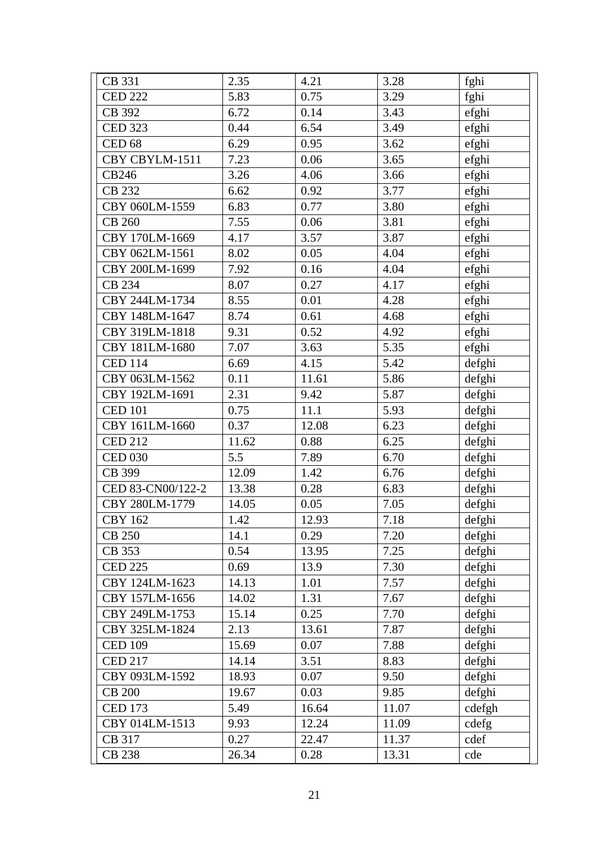| CB 331            | 2.35  | 4.21  | 3.28  | fghi   |
|-------------------|-------|-------|-------|--------|
| <b>CED 222</b>    | 5.83  | 0.75  | 3.29  | fghi   |
| CB 392            | 6.72  | 0.14  | 3.43  | efghi  |
| <b>CED 323</b>    | 0.44  | 6.54  | 3.49  | efghi  |
| <b>CED 68</b>     | 6.29  | 0.95  | 3.62  | efghi  |
| CBY CBYLM-1511    | 7.23  | 0.06  | 3.65  | efghi  |
| CB246             | 3.26  | 4.06  | 3.66  | efghi  |
| CB 232            | 6.62  | 0.92  | 3.77  | efghi  |
| CBY 060LM-1559    | 6.83  | 0.77  | 3.80  | efghi  |
| <b>CB 260</b>     | 7.55  | 0.06  | 3.81  | efghi  |
| CBY 170LM-1669    | 4.17  | 3.57  | 3.87  | efghi  |
| CBY 062LM-1561    | 8.02  | 0.05  | 4.04  | efghi  |
| CBY 200LM-1699    | 7.92  | 0.16  | 4.04  | efghi  |
| CB 234            | 8.07  | 0.27  | 4.17  | efghi  |
| CBY 244LM-1734    | 8.55  | 0.01  | 4.28  | efghi  |
| CBY 148LM-1647    | 8.74  | 0.61  | 4.68  | efghi  |
| CBY 319LM-1818    | 9.31  | 0.52  | 4.92  | efghi  |
| CBY 181LM-1680    | 7.07  | 3.63  | 5.35  | efghi  |
| <b>CED 114</b>    | 6.69  | 4.15  | 5.42  | defghi |
| CBY 063LM-1562    | 0.11  | 11.61 | 5.86  | defghi |
| CBY 192LM-1691    | 2.31  | 9.42  | 5.87  | defghi |
| <b>CED 101</b>    | 0.75  | 11.1  | 5.93  | defghi |
| CBY 161LM-1660    | 0.37  | 12.08 | 6.23  | defghi |
| <b>CED 212</b>    | 11.62 | 0.88  | 6.25  | defghi |
| <b>CED 030</b>    | 5.5   | 7.89  | 6.70  | defghi |
| CB 399            | 12.09 | 1.42  | 6.76  | defghi |
| CED 83-CN00/122-2 | 13.38 | 0.28  | 6.83  | defghi |
| CBY 280LM-1779    | 14.05 | 0.05  | 7.05  | defghi |
| <b>CBY 162</b>    | 1.42  | 12.93 | 7.18  | defghi |
| <b>CB 250</b>     | 14.1  | 0.29  | 7.20  | defghi |
| CB 353            | 0.54  | 13.95 | 7.25  | defghi |
| <b>CED 225</b>    | 0.69  | 13.9  | 7.30  | defghi |
| CBY 124LM-1623    | 14.13 | 1.01  | 7.57  | defghi |
| CBY 157LM-1656    | 14.02 | 1.31  | 7.67  | defghi |
| CBY 249LM-1753    | 15.14 | 0.25  | 7.70  | defghi |
| CBY 325LM-1824    | 2.13  | 13.61 | 7.87  | defghi |
| <b>CED 109</b>    | 15.69 | 0.07  | 7.88  | defghi |
| <b>CED 217</b>    | 14.14 | 3.51  | 8.83  | defghi |
| CBY 093LM-1592    | 18.93 | 0.07  | 9.50  | defghi |
| <b>CB 200</b>     | 19.67 | 0.03  | 9.85  | defghi |
| <b>CED 173</b>    | 5.49  | 16.64 | 11.07 | cdefgh |
| CBY 014LM-1513    | 9.93  | 12.24 | 11.09 | cdefg  |
| CB 317            | 0.27  | 22.47 | 11.37 | cdef   |
| <b>CB 238</b>     | 26.34 | 0.28  | 13.31 | cde    |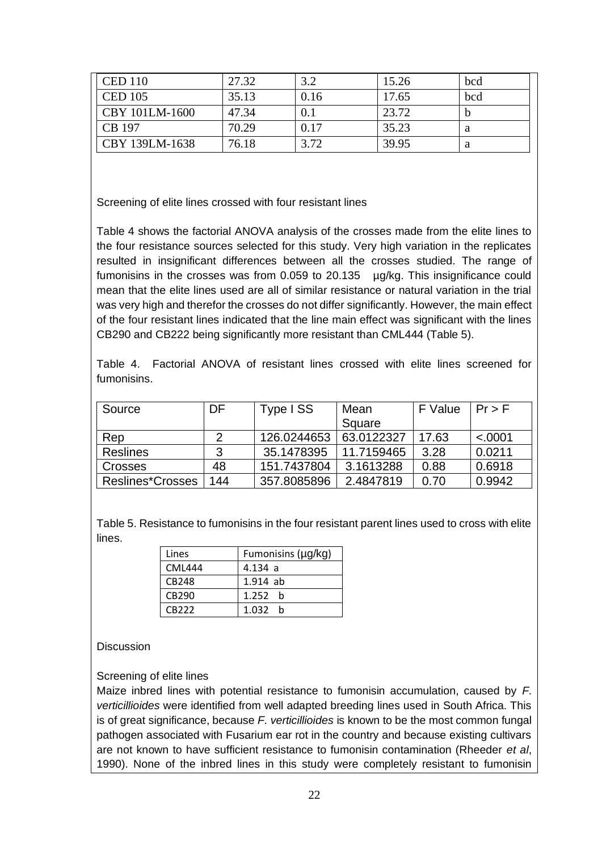| <b>CED 110</b> | 27.32 | 3.2  | 15.26 | bcd |
|----------------|-------|------|-------|-----|
| <b>CED 105</b> | 35.13 | 0.16 | 17.65 | bcd |
| CBY 101LM-1600 | 47.34 | 0.1  | 23.72 |     |
| CB 197         | 70.29 | 0.17 | 35.23 | a   |
| CBY 139LM-1638 | 76.18 | 3.72 | 39.95 | a   |

Screening of elite lines crossed with four resistant lines

Table 4 shows the factorial ANOVA analysis of the crosses made from the elite lines to the four resistance sources selected for this study. Very high variation in the replicates resulted in insignificant differences between all the crosses studied. The range of fumonisins in the crosses was from 0.059 to 20.135 µg/kg. This insignificance could mean that the elite lines used are all of similar resistance or natural variation in the trial was very high and therefor the crosses do not differ significantly. However, the main effect of the four resistant lines indicated that the line main effect was significant with the lines CB290 and CB222 being significantly more resistant than CML444 (Table 5).

Table 4. Factorial ANOVA of resistant lines crossed with elite lines screened for fumonisins.

| Source           | DF  | Type ISS    | Mean       | F Value | Pr > F  |
|------------------|-----|-------------|------------|---------|---------|
|                  |     |             | Square     |         |         |
| Rep              |     | 126.0244653 | 63.0122327 | 17.63   | < .0001 |
| <b>Reslines</b>  | ર   | 35.1478395  | 11.7159465 | 3.28    | 0.0211  |
| Crosses          | 48  | 151.7437804 | 3.1613288  | 0.88    | 0.6918  |
| Reslines*Crosses | 144 | 357.8085896 | 2.4847819  | 0.70    | 0.9942  |

Table 5. Resistance to fumonisins in the four resistant parent lines used to cross with elite lines.

| Lines  | Fumonisins (µg/kg) |  |
|--------|--------------------|--|
| CML444 | 4.134 a            |  |
| CB248  | $1.914$ ab         |  |
| CB290  | 1.252 h            |  |
|        |                    |  |
| CB222  | 1.032 h            |  |

#### **Discussion**

Screening of elite lines

Maize inbred lines with potential resistance to fumonisin accumulation, caused by *F. verticillioides* were identified from well adapted breeding lines used in South Africa. This is of great significance, because *F. verticillioides* is known to be the most common fungal pathogen associated with Fusarium ear rot in the country and because existing cultivars are not known to have sufficient resistance to fumonisin contamination (Rheeder *et al*, 1990). None of the inbred lines in this study were completely resistant to fumonisin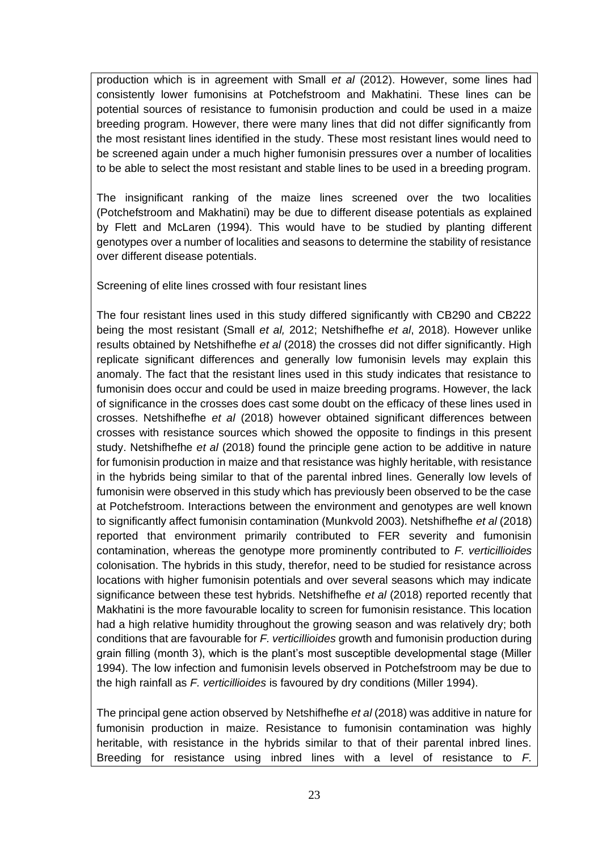production which is in agreement with Small *et al* (2012). However, some lines had consistently lower fumonisins at Potchefstroom and Makhatini. These lines can be potential sources of resistance to fumonisin production and could be used in a maize breeding program. However, there were many lines that did not differ significantly from the most resistant lines identified in the study. These most resistant lines would need to be screened again under a much higher fumonisin pressures over a number of localities to be able to select the most resistant and stable lines to be used in a breeding program.

The insignificant ranking of the maize lines screened over the two localities (Potchefstroom and Makhatini) may be due to different disease potentials as explained by Flett and McLaren (1994). This would have to be studied by planting different genotypes over a number of localities and seasons to determine the stability of resistance over different disease potentials.

Screening of elite lines crossed with four resistant lines

The four resistant lines used in this study differed significantly with CB290 and CB222 being the most resistant (Small *et al,* 2012; Netshifhefhe *et al*, 2018). However unlike results obtained by Netshifhefhe *et al* (2018) the crosses did not differ significantly. High replicate significant differences and generally low fumonisin levels may explain this anomaly. The fact that the resistant lines used in this study indicates that resistance to fumonisin does occur and could be used in maize breeding programs. However, the lack of significance in the crosses does cast some doubt on the efficacy of these lines used in crosses. Netshifhefhe *et al* (2018) however obtained significant differences between crosses with resistance sources which showed the opposite to findings in this present study. Netshifhefhe *et al* (2018) found the principle gene action to be additive in nature for fumonisin production in maize and that resistance was highly heritable, with resistance in the hybrids being similar to that of the parental inbred lines. Generally low levels of fumonisin were observed in this study which has previously been observed to be the case at Potchefstroom. Interactions between the environment and genotypes are well known to significantly affect fumonisin contamination (Munkvold 2003). Netshifhefhe *et al* (2018) reported that environment primarily contributed to FER severity and fumonisin contamination, whereas the genotype more prominently contributed to *F. verticillioides* colonisation. The hybrids in this study, therefor, need to be studied for resistance across locations with higher fumonisin potentials and over several seasons which may indicate significance between these test hybrids. Netshifhefhe *et al* (2018) reported recently that Makhatini is the more favourable locality to screen for fumonisin resistance. This location had a high relative humidity throughout the growing season and was relatively dry; both conditions that are favourable for *F. verticillioides* growth and fumonisin production during grain filling (month 3), which is the plant's most susceptible developmental stage (Miller 1994). The low infection and fumonisin levels observed in Potchefstroom may be due to the high rainfall as *F. verticillioides* is favoured by dry conditions (Miller 1994).

The principal gene action observed by Netshifhefhe *et al* (2018) was additive in nature for fumonisin production in maize. Resistance to fumonisin contamination was highly heritable, with resistance in the hybrids similar to that of their parental inbred lines. Breeding for resistance using inbred lines with a level of resistance to *F.*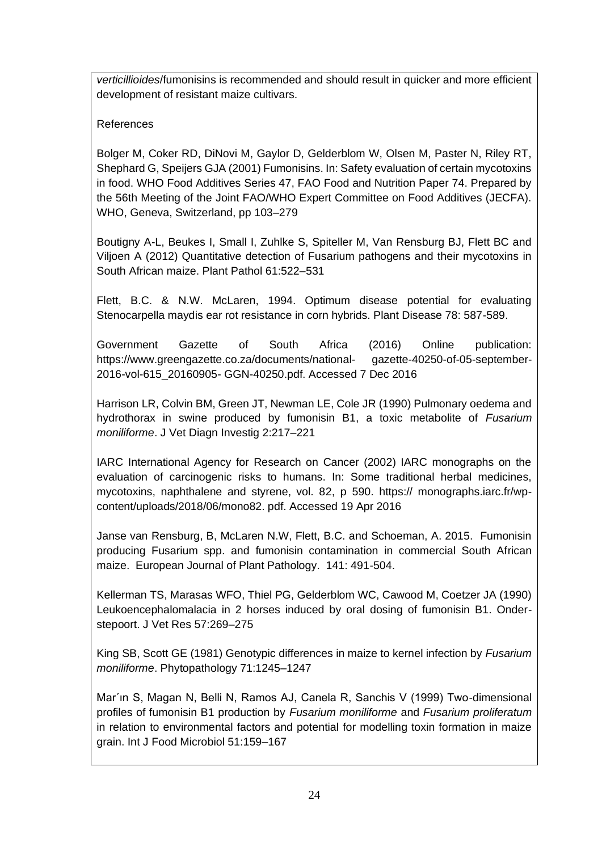*verticillioides*/fumonisins is recommended and should result in quicker and more efficient development of resistant maize cultivars.

# References

Bolger M, Coker RD, DiNovi M, Gaylor D, Gelderblom W, Olsen M, Paster N, Riley RT, Shephard G, Speijers GJA (2001) Fumonisins. In: Safety evaluation of certain mycotoxins in food. WHO Food Additives Series 47, FAO Food and Nutrition Paper 74. Prepared by the 56th Meeting of the Joint FAO/WHO Expert Committee on Food Additives (JECFA). WHO, Geneva, Switzerland, pp 103–279

Boutigny A-L, Beukes I, Small I, Zuhlke S, Spiteller M, Van Rensburg BJ, Flett BC and Viljoen A (2012) Quantitative detection of Fusarium pathogens and their mycotoxins in South African maize. Plant Pathol 61:522–531

Flett, B.C. & N.W. McLaren, 1994. Optimum disease potential for evaluating Stenocarpella maydis ear rot resistance in corn hybrids. Plant Disease 78: 587-589.

Government Gazette of South Africa (2016) Online publication: https://www.greengazette.co.za/documents/national- gazette-40250-of-05-september-2016-vol-615\_20160905- GGN-40250.pdf. Accessed 7 Dec 2016

Harrison LR, Colvin BM, Green JT, Newman LE, Cole JR (1990) Pulmonary oedema and hydrothorax in swine produced by fumonisin B1, a toxic metabolite of *Fusarium moniliforme*. J Vet Diagn Investig 2:217–221

IARC International Agency for Research on Cancer (2002) IARC monographs on the evaluation of carcinogenic risks to humans. In: Some traditional herbal medicines, mycotoxins, naphthalene and styrene, vol. 82, p 590. https:// monographs.iarc.fr/wpcontent/uploads/2018/06/mono82. pdf. Accessed 19 Apr 2016

Janse van Rensburg, B, McLaren N.W, Flett, B.C. and Schoeman, A. 2015. Fumonisin producing Fusarium spp. and fumonisin contamination in commercial South African maize. European Journal of Plant Pathology. 141: 491-504.

Kellerman TS, Marasas WFO, Thiel PG, Gelderblom WC, Cawood M, Coetzer JA (1990) Leukoencephalomalacia in 2 horses induced by oral dosing of fumonisin B1. Onderstepoort. J Vet Res 57:269–275

King SB, Scott GE (1981) Genotypic differences in maize to kernel infection by *Fusarium moniliforme*. Phytopathology 71:1245–1247

Mar'ın S, Magan N, Belli N, Ramos AJ, Canela R, Sanchis V (1999) Two-dimensional profiles of fumonisin B1 production by *Fusarium moniliforme* and *Fusarium proliferatum* in relation to environmental factors and potential for modelling toxin formation in maize grain. Int J Food Microbiol 51:159–167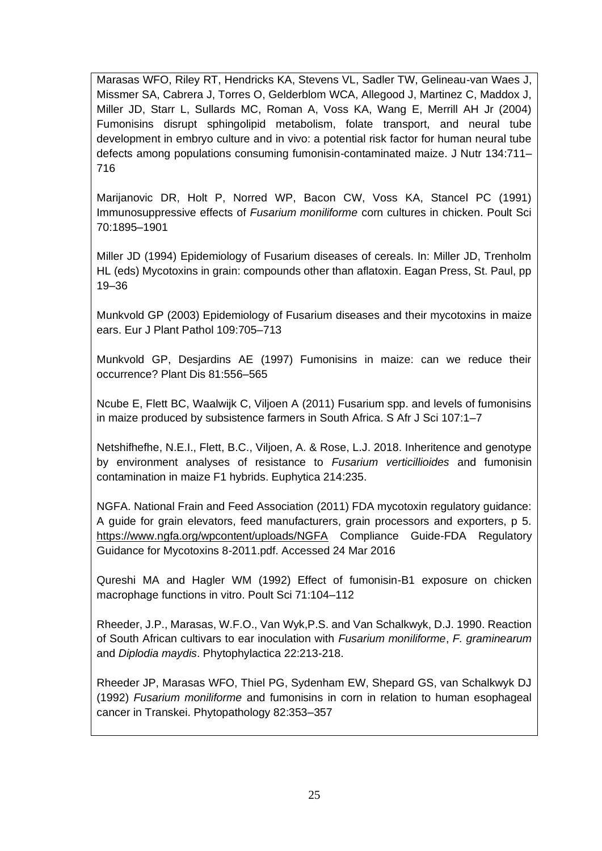Marasas WFO, Riley RT, Hendricks KA, Stevens VL, Sadler TW, Gelineau-van Waes J, Missmer SA, Cabrera J, Torres O, Gelderblom WCA, Allegood J, Martinez C, Maddox J, Miller JD, Starr L, Sullards MC, Roman A, Voss KA, Wang E, Merrill AH Jr (2004) Fumonisins disrupt sphingolipid metabolism, folate transport, and neural tube development in embryo culture and in vivo: a potential risk factor for human neural tube defects among populations consuming fumonisin-contaminated maize. J Nutr 134:711– 716

Marijanovic DR, Holt P, Norred WP, Bacon CW, Voss KA, Stancel PC (1991) Immunosuppressive effects of *Fusarium moniliforme* corn cultures in chicken. Poult Sci 70:1895–1901

Miller JD (1994) Epidemiology of Fusarium diseases of cereals. In: Miller JD, Trenholm HL (eds) Mycotoxins in grain: compounds other than aflatoxin. Eagan Press, St. Paul, pp 19–36

Munkvold GP (2003) Epidemiology of Fusarium diseases and their mycotoxins in maize ears. Eur J Plant Pathol 109:705–713

Munkvold GP, Desjardins AE (1997) Fumonisins in maize: can we reduce their occurrence? Plant Dis 81:556–565

Ncube E, Flett BC, Waalwijk C, Viljoen A (2011) Fusarium spp. and levels of fumonisins in maize produced by subsistence farmers in South Africa. S Afr J Sci 107:1–7

Netshifhefhe, N.E.I., Flett, B.C., Viljoen, A. & Rose, L.J. 2018. Inheritence and genotype by environment analyses of resistance to *Fusarium verticillioides* and fumonisin contamination in maize F1 hybrids. Euphytica 214:235.

NGFA. National Frain and Feed Association (2011) FDA mycotoxin regulatory guidance: A guide for grain elevators, feed manufacturers, grain processors and exporters, p 5. <https://www.ngfa.org/wpcontent/uploads/NGFA> Compliance Guide-FDA Regulatory Guidance for Mycotoxins 8-2011.pdf. Accessed 24 Mar 2016

Qureshi MA and Hagler WM (1992) Effect of fumonisin-B1 exposure on chicken macrophage functions in vitro. Poult Sci 71:104–112

Rheeder, J.P., Marasas, W.F.O., Van Wyk,P.S. and Van Schalkwyk, D.J. 1990. Reaction of South African cultivars to ear inoculation with *Fusarium moniliforme*, *F. graminearum* and *Diplodia maydis*. Phytophylactica 22:213-218.

Rheeder JP, Marasas WFO, Thiel PG, Sydenham EW, Shepard GS, van Schalkwyk DJ (1992) *Fusarium moniliforme* and fumonisins in corn in relation to human esophageal cancer in Transkei. Phytopathology 82:353–357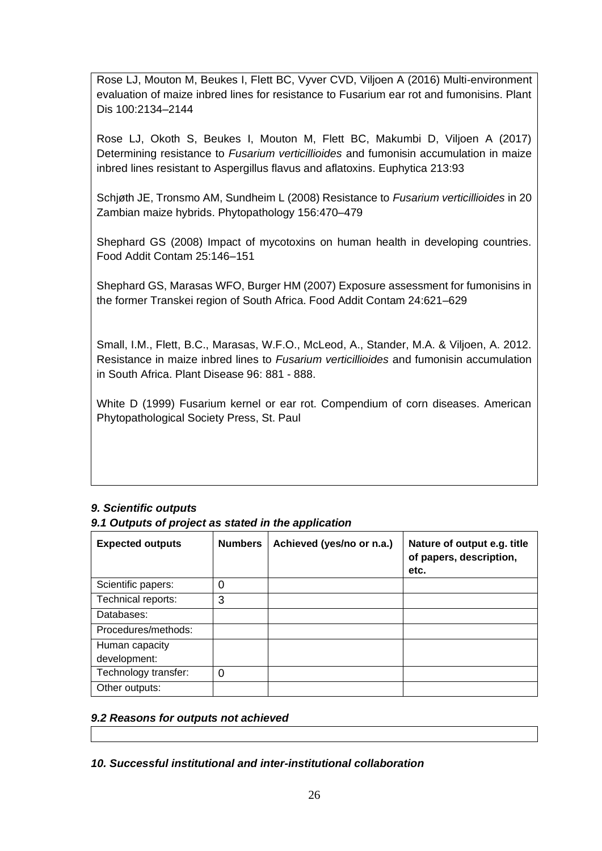Rose LJ, Mouton M, Beukes I, Flett BC, Vyver CVD, Viljoen A (2016) Multi-environment evaluation of maize inbred lines for resistance to Fusarium ear rot and fumonisins. Plant Dis 100:2134–2144

Rose LJ, Okoth S, Beukes I, Mouton M, Flett BC, Makumbi D, Viljoen A (2017) Determining resistance to *Fusarium verticillioides* and fumonisin accumulation in maize inbred lines resistant to Aspergillus flavus and aflatoxins. Euphytica 213:93

Schjøth JE, Tronsmo AM, Sundheim L (2008) Resistance to *Fusarium verticillioides* in 20 Zambian maize hybrids. Phytopathology 156:470–479

Shephard GS (2008) Impact of mycotoxins on human health in developing countries. Food Addit Contam 25:146–151

Shephard GS, Marasas WFO, Burger HM (2007) Exposure assessment for fumonisins in the former Transkei region of South Africa. Food Addit Contam 24:621–629

Small, I.M., Flett, B.C., Marasas, W.F.O., McLeod, A., Stander, M.A. & Viljoen, A. 2012. Resistance in maize inbred lines to *Fusarium verticillioides* and fumonisin accumulation in South Africa. Plant Disease 96: 881 - 888.

White D (1999) Fusarium kernel or ear rot. Compendium of corn diseases. American Phytopathological Society Press, St. Paul

# *9. Scientific outputs*

*9.1 Outputs of project as stated in the application*

| <b>Expected outputs</b> | <b>Numbers</b> | Achieved (yes/no or n.a.) | Nature of output e.g. title<br>of papers, description,<br>etc. |
|-------------------------|----------------|---------------------------|----------------------------------------------------------------|
| Scientific papers:      | 0              |                           |                                                                |
| Technical reports:      | 3              |                           |                                                                |
| Databases:              |                |                           |                                                                |
| Procedures/methods:     |                |                           |                                                                |
| Human capacity          |                |                           |                                                                |
| development:            |                |                           |                                                                |
| Technology transfer:    | $\Omega$       |                           |                                                                |
| Other outputs:          |                |                           |                                                                |

#### *9.2 Reasons for outputs not achieved*

#### *10. Successful institutional and inter-institutional collaboration*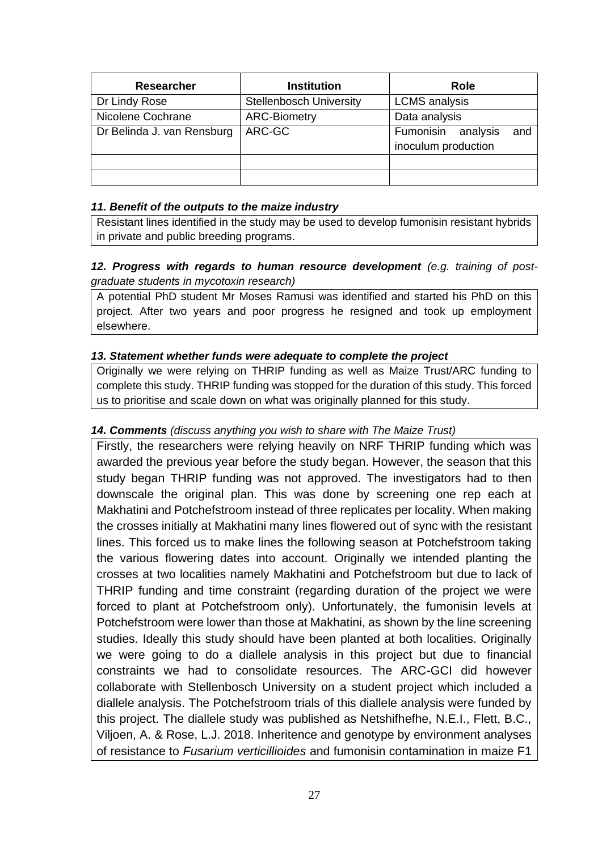| <b>Researcher</b>          | <b>Institution</b>             | Role                                                |
|----------------------------|--------------------------------|-----------------------------------------------------|
| Dr Lindy Rose              | <b>Stellenbosch University</b> | <b>LCMS</b> analysis                                |
| Nicolene Cochrane          | <b>ARC-Biometry</b>            | Data analysis                                       |
| Dr Belinda J. van Rensburg | ARC-GC                         | Fumonisin<br>analysis<br>and<br>inoculum production |
|                            |                                |                                                     |
|                            |                                |                                                     |

#### *11. Benefit of the outputs to the maize industry*

Resistant lines identified in the study may be used to develop fumonisin resistant hybrids in private and public breeding programs.

## 12. Progress with regards to human resource development (e.g. training of post*graduate students in mycotoxin research)*

A potential PhD student Mr Moses Ramusi was identified and started his PhD on this project. After two years and poor progress he resigned and took up employment elsewhere.

## *13. Statement whether funds were adequate to complete the project*

Originally we were relying on THRIP funding as well as Maize Trust/ARC funding to complete this study. THRIP funding was stopped for the duration of this study. This forced us to prioritise and scale down on what was originally planned for this study.

## *14. Comments (discuss anything you wish to share with The Maize Trust)*

Firstly, the researchers were relying heavily on NRF THRIP funding which was awarded the previous year before the study began. However, the season that this study began THRIP funding was not approved. The investigators had to then downscale the original plan. This was done by screening one rep each at Makhatini and Potchefstroom instead of three replicates per locality. When making the crosses initially at Makhatini many lines flowered out of sync with the resistant lines. This forced us to make lines the following season at Potchefstroom taking the various flowering dates into account. Originally we intended planting the crosses at two localities namely Makhatini and Potchefstroom but due to lack of THRIP funding and time constraint (regarding duration of the project we were forced to plant at Potchefstroom only). Unfortunately, the fumonisin levels at Potchefstroom were lower than those at Makhatini, as shown by the line screening studies. Ideally this study should have been planted at both localities. Originally we were going to do a diallele analysis in this project but due to financial constraints we had to consolidate resources. The ARC-GCI did however collaborate with Stellenbosch University on a student project which included a diallele analysis. The Potchefstroom trials of this diallele analysis were funded by this project. The diallele study was published as Netshifhefhe, N.E.I., Flett, B.C., Viljoen, A. & Rose, L.J. 2018. Inheritence and genotype by environment analyses of resistance to *Fusarium verticillioides* and fumonisin contamination in maize F1